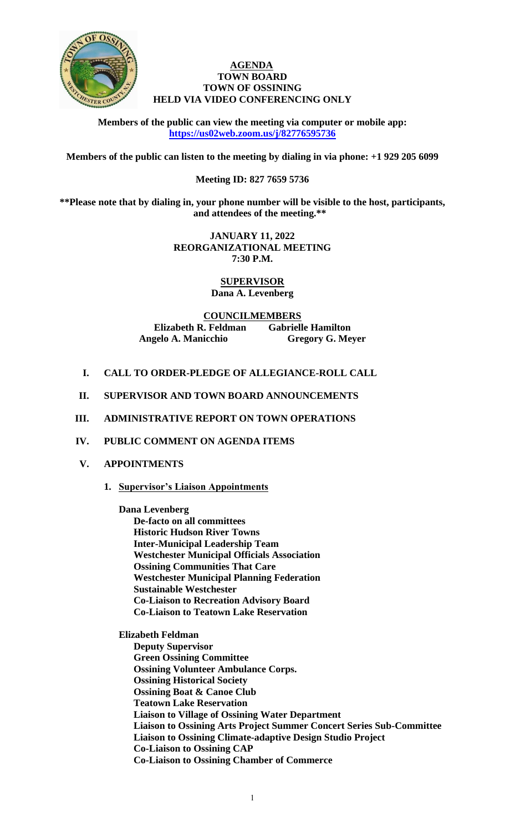

## **AGENDA TOWN BOARD TOWN OF OSSINING HELD VIA VIDEO CONFERENCING ONLY**

**Members of the public can view the meeting via computer or mobile app: <https://us02web.zoom.us/j/82776595736>**

**Members of the public can listen to the meeting by dialing in via phone: +1 929 205 6099** 

# **Meeting ID: 827 7659 5736**

**\*\*Please note that by dialing in, your phone number will be visible to the host, participants, and attendees of the meeting.\*\*** 

> **JANUARY 11, 2022 REORGANIZATIONAL MEETING 7:30 P.M.**

> > **SUPERVISOR Dana A. Levenberg**

**COUNCILMEMBERS Elizabeth R. Feldman Gabrielle Hamilton Angelo A. Manicchio Gregory G. Meyer**

- **I. CALL TO ORDER-PLEDGE OF ALLEGIANCE-ROLL CALL**
- **II. SUPERVISOR AND TOWN BOARD ANNOUNCEMENTS**
- **III. ADMINISTRATIVE REPORT ON TOWN OPERATIONS**

# **IV. PUBLIC COMMENT ON AGENDA ITEMS**

- **V. APPOINTMENTS**
	- **1. Supervisor's Liaison Appointments**

**Dana Levenberg De-facto on all committees Historic Hudson River Towns Inter-Municipal Leadership Team Westchester Municipal Officials Association Ossining Communities That Care Westchester Municipal Planning Federation Sustainable Westchester Co-Liaison to Recreation Advisory Board Co-Liaison to Teatown Lake Reservation**

**Elizabeth Feldman Deputy Supervisor Green Ossining Committee Ossining Volunteer Ambulance Corps. Ossining Historical Society Ossining Boat & Canoe Club Teatown Lake Reservation Liaison to Village of Ossining Water Department Liaison to Ossining Arts Project Summer Concert Series Sub-Committee Liaison to Ossining Climate-adaptive Design Studio Project Co-Liaison to Ossining CAP Co-Liaison to Ossining Chamber of Commerce**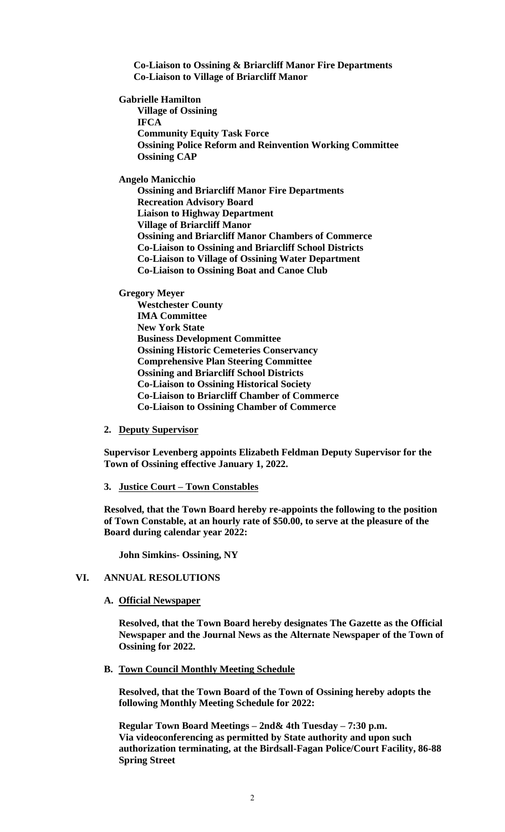**Co-Liaison to Ossining & Briarcliff Manor Fire Departments Co-Liaison to Village of Briarcliff Manor**

**Gabrielle Hamilton**

**Village of Ossining IFCA Community Equity Task Force Ossining Police Reform and Reinvention Working Committee Ossining CAP**

**Angelo Manicchio** 

**Ossining and Briarcliff Manor Fire Departments Recreation Advisory Board Liaison to Highway Department Village of Briarcliff Manor Ossining and Briarcliff Manor Chambers of Commerce Co-Liaison to Ossining and Briarcliff School Districts Co-Liaison to Village of Ossining Water Department Co-Liaison to Ossining Boat and Canoe Club**

**Gregory Meyer**

**Westchester County IMA Committee New York State Business Development Committee Ossining Historic Cemeteries Conservancy Comprehensive Plan Steering Committee Ossining and Briarcliff School Districts Co-Liaison to Ossining Historical Society Co-Liaison to Briarcliff Chamber of Commerce Co-Liaison to Ossining Chamber of Commerce**

### **2. Deputy Supervisor**

**Supervisor Levenberg appoints Elizabeth Feldman Deputy Supervisor for the Town of Ossining effective January 1, 2022.**

#### **3. Justice Court – Town Constables**

**Resolved, that the Town Board hereby re-appoints the following to the position of Town Constable, at an hourly rate of \$50.00, to serve at the pleasure of the Board during calendar year 2022:**

**John Simkins- Ossining, NY**

# **VI. ANNUAL RESOLUTIONS**

#### **A. Official Newspaper**

**Resolved, that the Town Board hereby designates The Gazette as the Official Newspaper and the Journal News as the Alternate Newspaper of the Town of Ossining for 2022.**

#### **B. Town Council Monthly Meeting Schedule**

**Resolved, that the Town Board of the Town of Ossining hereby adopts the following Monthly Meeting Schedule for 2022:**

**Regular Town Board Meetings – 2nd& 4th Tuesday – 7:30 p.m. Via videoconferencing as permitted by State authority and upon such authorization terminating, at the Birdsall-Fagan Police/Court Facility, 86-88 Spring Street**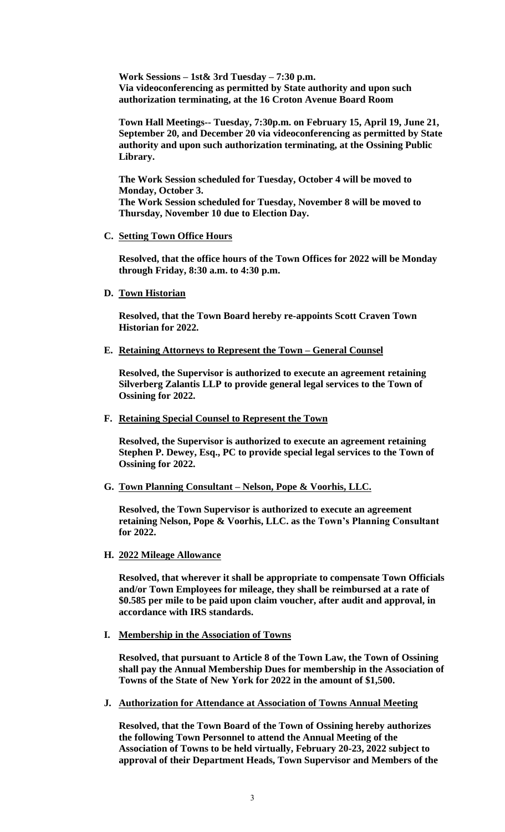**Work Sessions – 1st& 3rd Tuesday – 7:30 p.m. Via videoconferencing as permitted by State authority and upon such authorization terminating, at the 16 Croton Avenue Board Room**

**Town Hall Meetings-- Tuesday, 7:30p.m. on February 15, April 19, June 21, September 20, and December 20 via videoconferencing as permitted by State authority and upon such authorization terminating, at the Ossining Public Library.**

**The Work Session scheduled for Tuesday, October 4 will be moved to Monday, October 3. The Work Session scheduled for Tuesday, November 8 will be moved to Thursday, November 10 due to Election Day.**

## **C. Setting Town Office Hours**

**Resolved, that the office hours of the Town Offices for 2022 will be Monday through Friday, 8:30 a.m. to 4:30 p.m.**

**D. Town Historian**

**Resolved, that the Town Board hereby re-appoints Scott Craven Town Historian for 2022.**

**E. Retaining Attorneys to Represent the Town – General Counsel**

**Resolved, the Supervisor is authorized to execute an agreement retaining Silverberg Zalantis LLP to provide general legal services to the Town of Ossining for 2022.**

**F. Retaining Special Counsel to Represent the Town**

**Resolved, the Supervisor is authorized to execute an agreement retaining Stephen P. Dewey, Esq., PC to provide special legal services to the Town of Ossining for 2022.**

**G. Town Planning Consultant – Nelson, Pope & Voorhis, LLC.**

**Resolved, the Town Supervisor is authorized to execute an agreement retaining Nelson, Pope & Voorhis, LLC. as the Town's Planning Consultant for 2022.** 

**H. 2022 Mileage Allowance**

**Resolved, that wherever it shall be appropriate to compensate Town Officials and/or Town Employees for mileage, they shall be reimbursed at a rate of \$0.585 per mile to be paid upon claim voucher, after audit and approval, in accordance with IRS standards.**

**I. Membership in the Association of Towns**

**Resolved, that pursuant to Article 8 of the Town Law, the Town of Ossining shall pay the Annual Membership Dues for membership in the Association of Towns of the State of New York for 2022 in the amount of \$1,500.**

**J. Authorization for Attendance at Association of Towns Annual Meeting**

**Resolved, that the Town Board of the Town of Ossining hereby authorizes the following Town Personnel to attend the Annual Meeting of the Association of Towns to be held virtually, February 20-23, 2022 subject to approval of their Department Heads, Town Supervisor and Members of the**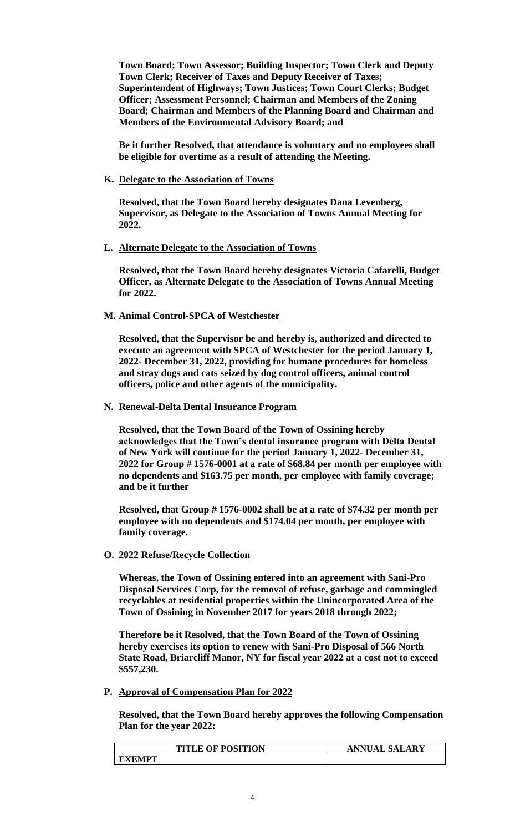**Town Board; Town Assessor; Building Inspector; Town Clerk and Deputy Town Clerk; Receiver of Taxes and Deputy Receiver of Taxes; Superintendent of Highways; Town Justices; Town Court Clerks; Budget Officer; Assessment Personnel; Chairman and Members of the Zoning Board; Chairman and Members of the Planning Board and Chairman and Members of the Environmental Advisory Board; and**

**Be it further Resolved, that attendance is voluntary and no employees shall be eligible for overtime as a result of attending the Meeting.**

### **K. Delegate to the Association of Towns**

**Resolved, that the Town Board hereby designates Dana Levenberg, Supervisor, as Delegate to the Association of Towns Annual Meeting for 2022.**

## **L. Alternate Delegate to the Association of Towns**

**Resolved, that the Town Board hereby designates Victoria Cafarelli, Budget Officer, as Alternate Delegate to the Association of Towns Annual Meeting for 2022.**

## **M. Animal Control-SPCA of Westchester**

**Resolved, that the Supervisor be and hereby is, authorized and directed to execute an agreement with SPCA of Westchester for the period January 1, 2022- December 31, 2022, providing for humane procedures for homeless and stray dogs and cats seized by dog control officers, animal control officers, police and other agents of the municipality.**

## **N. Renewal-Delta Dental Insurance Program**

**Resolved, that the Town Board of the Town of Ossining hereby acknowledges that the Town's dental insurance program with Delta Dental of New York will continue for the period January 1, 2022- December 31, 2022 for Group # 1576-0001 at a rate of \$68.84 per month per employee with no dependents and \$163.75 per month, per employee with family coverage; and be it further**

**Resolved, that Group # 1576-0002 shall be at a rate of \$74.32 per month per employee with no dependents and \$174.04 per month, per employee with family coverage.**

# **O. 2022 Refuse/Recycle Collection**

**Whereas, the Town of Ossining entered into an agreement with Sani-Pro Disposal Services Corp, for the removal of refuse, garbage and commingled recyclables at residential properties within the Unincorporated Area of the Town of Ossining in November 2017 for years 2018 through 2022;** 

**Therefore be it Resolved, that the Town Board of the Town of Ossining hereby exercises its option to renew with Sani-Pro Disposal of 566 North State Road, Briarcliff Manor, NY for fiscal year 2022 at a cost not to exceed \$557,230.** 

# **P. Approval of Compensation Plan for 2022**

**Resolved, that the Town Board hereby approves the following Compensation Plan for the year 2022:**

| <b>TITLE OF POSITION</b> | <b>ANNUAL SALARY</b> |
|--------------------------|----------------------|
| <b>EXEMPT</b>            |                      |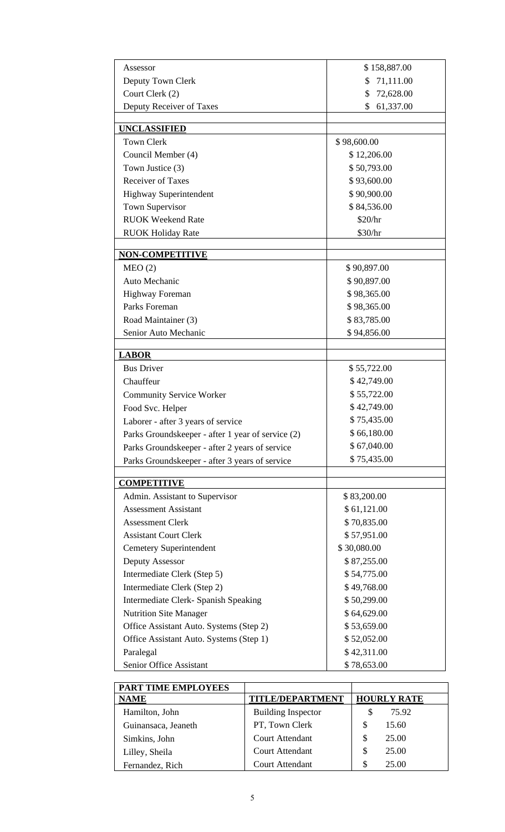| Assessor                                          | \$158,887.00    |
|---------------------------------------------------|-----------------|
| 71,111.00<br>Deputy Town Clerk<br>\$              |                 |
| Court Clerk (2)                                   | 72,628.00<br>\$ |
| Deputy Receiver of Taxes                          | \$<br>61,337.00 |
| <b>UNCLASSIFIED</b>                               |                 |
| <b>Town Clerk</b>                                 | \$98,600.00     |
| Council Member (4)                                | \$12,206.00     |
| Town Justice (3)                                  | \$50,793.00     |
| <b>Receiver of Taxes</b>                          | \$93,600.00     |
| <b>Highway Superintendent</b>                     | \$90,900.00     |
| Town Supervisor                                   | \$84,536.00     |
| <b>RUOK Weekend Rate</b>                          | \$20/hr         |
| <b>RUOK Holiday Rate</b>                          | \$30/hr         |
| <b>NON-COMPETITIVE</b>                            |                 |
| MEO(2)                                            | \$90,897.00     |
| Auto Mechanic                                     | \$90,897.00     |
| Highway Foreman                                   | \$98,365.00     |
| Parks Foreman                                     | \$98,365.00     |
| \$83,785.00<br>Road Maintainer (3)                |                 |
| Senior Auto Mechanic<br>\$94,856.00               |                 |
| <b>LABOR</b>                                      |                 |
| <b>Bus Driver</b>                                 | \$55,722.00     |
| Chauffeur                                         | \$42,749.00     |
| <b>Community Service Worker</b>                   | \$55,722.00     |
| Food Svc. Helper                                  | \$42,749.00     |
| Laborer - after 3 years of service                | \$75,435.00     |
| Parks Groundskeeper - after 1 year of service (2) | \$66,180.00     |
| Parks Groundskeeper - after 2 years of service    | \$67,040.00     |
| Parks Groundskeeper - after 3 years of service    | \$75,435.00     |
| <b>COMPETITIVE</b>                                |                 |
| Admin. Assistant to Supervisor                    | \$83,200.00     |
| <b>Assessment Assistant</b>                       | \$61,121.00     |
| <b>Assessment Clerk</b>                           | \$70,835.00     |
| <b>Assistant Court Clerk</b>                      | \$57,951.00     |
| <b>Cemetery Superintendent</b>                    | \$30,080.00     |
| Deputy Assessor                                   | \$87,255.00     |
| Intermediate Clerk (Step 5)                       | \$54,775.00     |
| Intermediate Clerk (Step 2)                       | \$49,768.00     |
| Intermediate Clerk- Spanish Speaking              | \$50,299.00     |
| <b>Nutrition Site Manager</b>                     | \$64,629.00     |
| Office Assistant Auto. Systems (Step 2)           | \$53,659.00     |
| Office Assistant Auto. Systems (Step 1)           | \$52,052.00     |
| Paralegal                                         | \$42,311.00     |
| Senior Office Assistant                           | \$78,653.00     |

| <b>PART TIME EMPLOYEES</b> |                           |                    |
|----------------------------|---------------------------|--------------------|
| <b>NAME</b>                | <b>TITLE/DEPARTMENT</b>   | <b>HOURLY RATE</b> |
| Hamilton, John             | <b>Building Inspector</b> | 75.92              |
| Guinansaca, Jeaneth        | PT, Town Clerk            | 15.60<br>S         |
| Simkins, John              | <b>Court Attendant</b>    | 25.00<br>S         |
| Lilley, Sheila             | <b>Court Attendant</b>    | 25.00<br>S         |
| Fernandez, Rich            | <b>Court Attendant</b>    | 25.00<br>S         |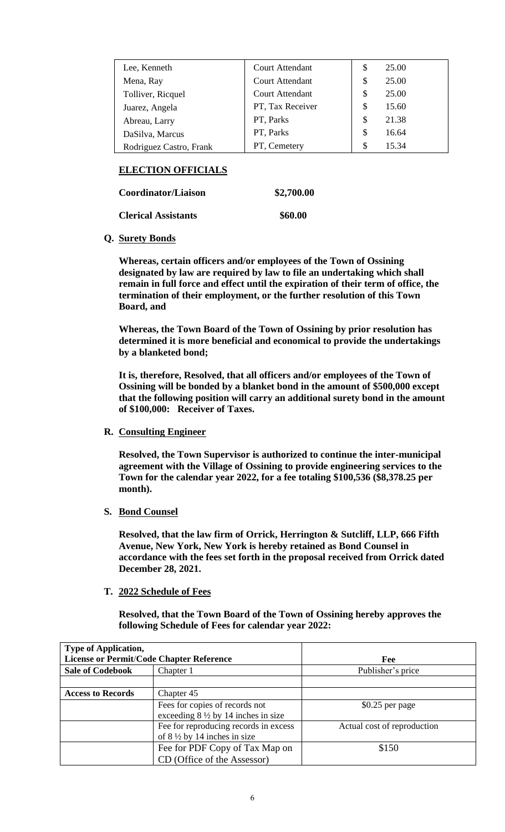| Lee, Kenneth            | <b>Court Attendant</b> | \$ | 25.00 |
|-------------------------|------------------------|----|-------|
| Mena, Ray               | <b>Court Attendant</b> | \$ | 25.00 |
| Tolliver, Ricquel       | <b>Court Attendant</b> | \$ | 25.00 |
| Juarez, Angela          | PT, Tax Receiver       | S  | 15.60 |
| Abreau, Larry           | PT, Parks              | S  | 21.38 |
| DaSilva, Marcus         | PT, Parks              | \$ | 16.64 |
| Rodriguez Castro, Frank | PT, Cemetery           | \$ | 15.34 |

# **ELECTION OFFICIALS**

**Coordinator/Liaison \$2,700.00** 

**Clerical Assistants \$60.00** 

# **Q. Surety Bonds**

**Whereas, certain officers and/or employees of the Town of Ossining designated by law are required by law to file an undertaking which shall remain in full force and effect until the expiration of their term of office, the termination of their employment, or the further resolution of this Town Board, and**

**Whereas, the Town Board of the Town of Ossining by prior resolution has determined it is more beneficial and economical to provide the undertakings by a blanketed bond;**

**It is, therefore, Resolved, that all officers and/or employees of the Town of Ossining will be bonded by a blanket bond in the amount of \$500,000 except that the following position will carry an additional surety bond in the amount of \$100,000: Receiver of Taxes.**

**R. Consulting Engineer**

**Resolved, the Town Supervisor is authorized to continue the inter-municipal agreement with the Village of Ossining to provide engineering services to the Town for the calendar year 2022, for a fee totaling \$100,536 (\$8,378.25 per month).** 

**S. Bond Counsel**

**Resolved, that the law firm of Orrick, Herrington & Sutcliff, LLP, 666 Fifth Avenue, New York, New York is hereby retained as Bond Counsel in accordance with the fees set forth in the proposal received from Orrick dated December 28, 2021.**

# **T. 2022 Schedule of Fees**

**Resolved, that the Town Board of the Town of Ossining hereby approves the following Schedule of Fees for calendar year 2022:**

| <b>Type of Application,</b>              |                                               |                             |
|------------------------------------------|-----------------------------------------------|-----------------------------|
| License or Permit/Code Chapter Reference |                                               | Fee                         |
| <b>Sale of Codebook</b>                  | Chapter 1                                     | Publisher's price           |
|                                          |                                               |                             |
| <b>Access to Records</b>                 | Chapter 45                                    |                             |
|                                          | Fees for copies of records not                | $$0.25$ per page            |
|                                          | exceeding $8\frac{1}{2}$ by 14 inches in size |                             |
|                                          | Fee for reproducing records in excess         | Actual cost of reproduction |
|                                          | of $8\frac{1}{2}$ by 14 inches in size        |                             |
|                                          | Fee for PDF Copy of Tax Map on                | \$150                       |
|                                          | CD (Office of the Assessor)                   |                             |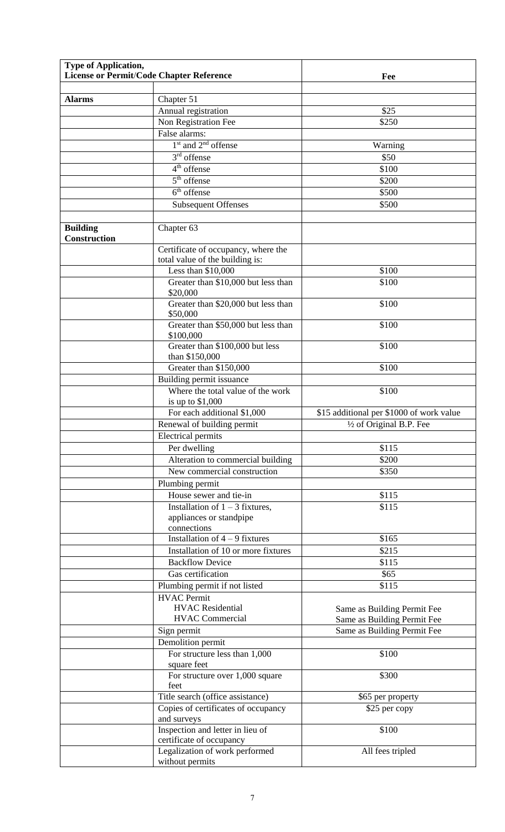| <b>Type of Application,</b>            | License or Permit/Code Chapter Reference                                    | Fee                                      |
|----------------------------------------|-----------------------------------------------------------------------------|------------------------------------------|
|                                        |                                                                             |                                          |
| <b>Alarms</b>                          | Chapter 51                                                                  |                                          |
|                                        | Annual registration                                                         | \$25                                     |
|                                        | Non Registration Fee                                                        | \$250                                    |
|                                        | False alarms:                                                               |                                          |
|                                        | 1 <sup>st</sup> and 2 <sup>nd</sup> offense                                 | Warning                                  |
|                                        | $3rd$ offense                                                               | \$50                                     |
|                                        | $4th$ offense                                                               | \$100                                    |
|                                        | $5th$ offense                                                               | \$200                                    |
|                                        | $6th$ offense                                                               | \$500                                    |
|                                        | <b>Subsequent Offenses</b>                                                  | \$500                                    |
| <b>Building</b><br><b>Construction</b> | Chapter 63                                                                  |                                          |
|                                        | Certificate of occupancy, where the<br>total value of the building is:      |                                          |
|                                        | Less than \$10,000                                                          | \$100                                    |
|                                        | Greater than \$10,000 but less than                                         | \$100                                    |
|                                        | \$20,000<br>Greater than \$20,000 but less than                             | \$100                                    |
|                                        | \$50,000<br>Greater than \$50,000 but less than                             | \$100                                    |
|                                        | \$100,000<br>Greater than \$100,000 but less                                | \$100                                    |
|                                        | than \$150,000<br>Greater than \$150,000                                    | \$100                                    |
|                                        | Building permit issuance                                                    |                                          |
|                                        | Where the total value of the work<br>is up to \$1,000                       | \$100                                    |
|                                        | For each additional \$1,000                                                 | \$15 additional per \$1000 of work value |
|                                        | Renewal of building permit                                                  | $\frac{1}{2}$ of Original B.P. Fee       |
|                                        | <b>Electrical permits</b>                                                   |                                          |
|                                        | Per dwelling                                                                | \$115                                    |
|                                        | Alteration to commercial building                                           | \$200                                    |
|                                        | New commercial construction                                                 | \$350                                    |
|                                        | Plumbing permit                                                             |                                          |
|                                        | House sewer and tie-in                                                      | \$115                                    |
|                                        | Installation of $1 - 3$ fixtures,<br>appliances or standpipe<br>connections | \$115                                    |
|                                        | Installation of $4 - 9$ fixtures                                            | \$165                                    |
|                                        | Installation of $10$ or more fixtures                                       | \$215                                    |
|                                        | <b>Backflow Device</b>                                                      | \$115                                    |
|                                        | Gas certification                                                           | \$65                                     |
|                                        | Plumbing permit if not listed                                               | \$115                                    |
|                                        | <b>HVAC Permit</b><br><b>HVAC</b> Residential                               | Same as Building Permit Fee              |
|                                        | <b>HVAC Commercial</b>                                                      | Same as Building Permit Fee              |
|                                        | Sign permit                                                                 | Same as Building Permit Fee              |
|                                        | Demolition permit                                                           |                                          |
|                                        | For structure less than 1,000<br>square feet                                | \$100                                    |
|                                        | For structure over 1,000 square<br>feet                                     | \$300                                    |
|                                        | Title search (office assistance)                                            | \$65 per property                        |
|                                        | Copies of certificates of occupancy<br>and surveys                          | \$25 per copy                            |
|                                        | Inspection and letter in lieu of                                            | \$100                                    |
|                                        | certificate of occupancy<br>Legalization of work performed                  | All fees tripled                         |
|                                        | without permits                                                             |                                          |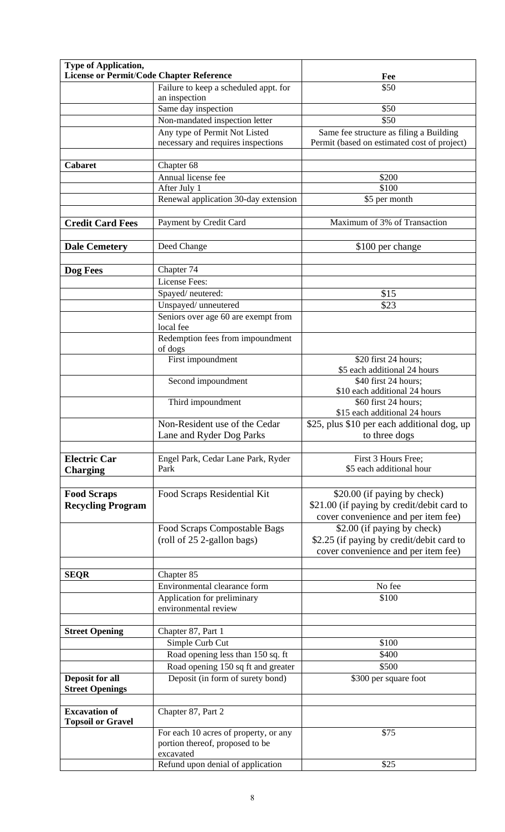| <b>Type of Application,</b>              |                                       |                                             |
|------------------------------------------|---------------------------------------|---------------------------------------------|
| License or Permit/Code Chapter Reference |                                       | Fee                                         |
|                                          | Failure to keep a scheduled appt. for | \$50                                        |
|                                          | an inspection                         |                                             |
|                                          | Same day inspection                   | \$50                                        |
|                                          | Non-mandated inspection letter        | \$50                                        |
|                                          | Any type of Permit Not Listed         | Same fee structure as filing a Building     |
|                                          | necessary and requires inspections    | Permit (based on estimated cost of project) |
| <b>Cabaret</b>                           | Chapter 68                            |                                             |
|                                          | Annual license fee                    | \$200                                       |
|                                          | After July 1                          | \$100                                       |
|                                          | Renewal application 30-day extension  | \$5 per month                               |
|                                          |                                       |                                             |
| <b>Credit Card Fees</b>                  | Payment by Credit Card                | Maximum of 3% of Transaction                |
|                                          |                                       |                                             |
| <b>Dale Cemetery</b>                     | Deed Change                           | \$100 per change                            |
|                                          |                                       |                                             |
| Dog Fees                                 | Chapter 74                            |                                             |
|                                          | <b>License Fees:</b>                  |                                             |
|                                          | Spayed/neutered:                      | \$15                                        |
|                                          | Unspayed/unneutered                   | \$23                                        |
|                                          | Seniors over age 60 are exempt from   |                                             |
|                                          | local fee                             |                                             |
|                                          | Redemption fees from impoundment      |                                             |
|                                          | of dogs<br>First impoundment          | \$20 first 24 hours;                        |
|                                          |                                       | \$5 each additional 24 hours                |
|                                          | Second impoundment                    | \$40 first 24 hours;                        |
|                                          |                                       | \$10 each additional 24 hours               |
|                                          | Third impoundment                     | \$60 first 24 hours;                        |
|                                          |                                       | \$15 each additional 24 hours               |
|                                          | Non-Resident use of the Cedar         | \$25, plus \$10 per each additional dog, up |
|                                          | Lane and Ryder Dog Parks              | to three dogs                               |
| <b>Electric Car</b>                      | Engel Park, Cedar Lane Park, Ryder    | First 3 Hours Free;                         |
| <b>Charging</b>                          | Park                                  | \$5 each additional hour                    |
|                                          |                                       |                                             |
| <b>Food Scraps</b>                       | Food Scraps Residential Kit           | \$20.00 (if paying by check)                |
| <b>Recycling Program</b>                 |                                       | \$21.00 (if paying by credit/debit card to  |
|                                          |                                       | cover convenience and per item fee)         |
|                                          | Food Scraps Compostable Bags          | \$2.00 (if paying by check)                 |
|                                          | (roll of 25 2-gallon bags)            | \$2.25 (if paying by credit/debit card to   |
|                                          |                                       | cover convenience and per item fee)         |
|                                          |                                       |                                             |
| <b>SEQR</b>                              | Chapter 85                            |                                             |
|                                          | Environmental clearance form          | No fee                                      |
|                                          | Application for preliminary           | \$100                                       |
|                                          | environmental review                  |                                             |
|                                          |                                       |                                             |
| <b>Street Opening</b>                    | Chapter 87, Part 1                    |                                             |
|                                          | Simple Curb Cut                       | \$100                                       |
|                                          | Road opening less than 150 sq. ft     | \$400                                       |
|                                          | Road opening 150 sq ft and greater    | \$500                                       |
| <b>Deposit for all</b>                   | Deposit (in form of surety bond)      | \$300 per square foot                       |
| <b>Street Openings</b>                   |                                       |                                             |
| <b>Excavation of</b>                     | Chapter 87, Part 2                    |                                             |
| <b>Topsoil or Gravel</b>                 |                                       |                                             |
|                                          | For each 10 acres of property, or any | \$75                                        |
|                                          | portion thereof, proposed to be       |                                             |
|                                          | excavated                             |                                             |
|                                          | Refund upon denial of application     | \$25                                        |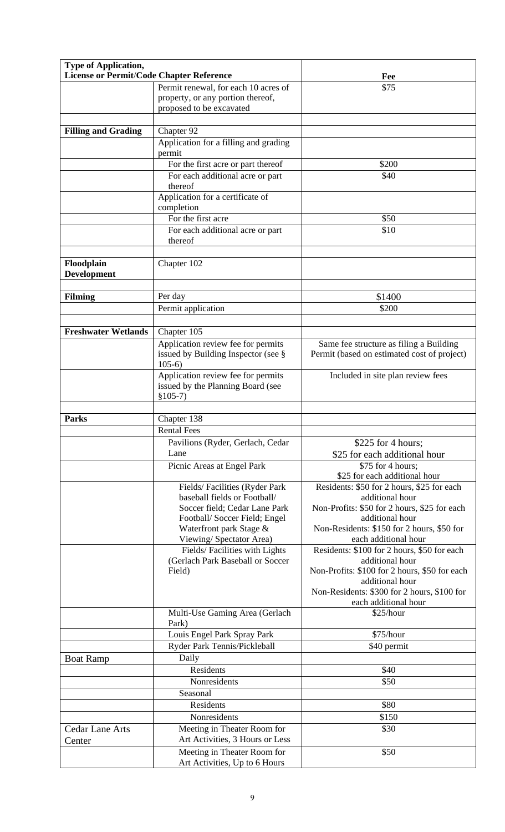| <b>Type of Application,</b>              |                                                                   |                                                                |
|------------------------------------------|-------------------------------------------------------------------|----------------------------------------------------------------|
| License or Permit/Code Chapter Reference |                                                                   | Fee                                                            |
|                                          | Permit renewal, for each 10 acres of                              | \$75                                                           |
|                                          | property, or any portion thereof,                                 |                                                                |
|                                          | proposed to be excavated                                          |                                                                |
| <b>Filling and Grading</b>               | Chapter 92                                                        |                                                                |
|                                          | Application for a filling and grading                             |                                                                |
|                                          | permit                                                            |                                                                |
|                                          | For the first acre or part thereof                                | \$200                                                          |
|                                          | For each additional acre or part                                  | \$40                                                           |
|                                          | thereof                                                           |                                                                |
|                                          | Application for a certificate of                                  |                                                                |
|                                          | completion                                                        |                                                                |
|                                          | For the first acre                                                | \$50                                                           |
|                                          | For each additional acre or part                                  | \$10                                                           |
|                                          | thereof                                                           |                                                                |
|                                          |                                                                   |                                                                |
| Floodplain                               | Chapter 102                                                       |                                                                |
| <b>Development</b>                       |                                                                   |                                                                |
| <b>Filming</b>                           | Per day                                                           | \$1400                                                         |
|                                          | Permit application                                                | \$200                                                          |
|                                          |                                                                   |                                                                |
| <b>Freshwater Wetlands</b>               | Chapter 105                                                       |                                                                |
|                                          | Application review fee for permits                                | Same fee structure as filing a Building                        |
|                                          | issued by Building Inspector (see §                               | Permit (based on estimated cost of project)                    |
|                                          | $105-6$                                                           |                                                                |
|                                          | Application review fee for permits                                | Included in site plan review fees                              |
|                                          | issued by the Planning Board (see                                 |                                                                |
|                                          | $$105-7)$                                                         |                                                                |
| <b>Parks</b>                             |                                                                   |                                                                |
|                                          | Chapter 138<br><b>Rental Fees</b>                                 |                                                                |
|                                          |                                                                   |                                                                |
|                                          | Pavilions (Ryder, Gerlach, Cedar<br>Lane                          | \$225 for 4 hours;                                             |
|                                          | Picnic Areas at Engel Park                                        | \$25 for each additional hour<br>\$75 for 4 hours;             |
|                                          |                                                                   | \$25 for each additional hour                                  |
|                                          | Fields/Facilities (Ryder Park                                     | Residents: \$50 for 2 hours, \$25 for each                     |
|                                          | baseball fields or Football/                                      | additional hour                                                |
|                                          | Soccer field; Cedar Lane Park                                     | Non-Profits: \$50 for 2 hours, \$25 for each                   |
|                                          | Football/Soccer Field; Engel                                      | additional hour                                                |
|                                          | Waterfront park Stage &                                           | Non-Residents: \$150 for 2 hours, \$50 for                     |
|                                          | Viewing/Spectator Area)                                           | each additional hour                                           |
|                                          | Fields/Facilities with Lights<br>(Gerlach Park Baseball or Soccer | Residents: \$100 for 2 hours, \$50 for each<br>additional hour |
|                                          | Field)                                                            | Non-Profits: \$100 for 2 hours, \$50 for each                  |
|                                          |                                                                   | additional hour                                                |
|                                          |                                                                   | Non-Residents: \$300 for 2 hours, \$100 for                    |
|                                          |                                                                   | each additional hour                                           |
|                                          | Multi-Use Gaming Area (Gerlach                                    | \$25/hour                                                      |
|                                          | Park)<br>Louis Engel Park Spray Park                              | \$75/hour                                                      |
|                                          | Ryder Park Tennis/Pickleball                                      | \$40 permit                                                    |
| <b>Boat Ramp</b>                         | Daily                                                             |                                                                |
|                                          | Residents                                                         | \$40                                                           |
|                                          | Nonresidents                                                      | \$50                                                           |
|                                          | Seasonal                                                          |                                                                |
|                                          | Residents                                                         | \$80                                                           |
|                                          | Nonresidents                                                      | \$150                                                          |
| <b>Cedar Lane Arts</b>                   | Meeting in Theater Room for                                       | \$30                                                           |
| Center                                   | Art Activities, 3 Hours or Less                                   |                                                                |
|                                          | Meeting in Theater Room for                                       | \$50                                                           |
|                                          | Art Activities, Up to 6 Hours                                     |                                                                |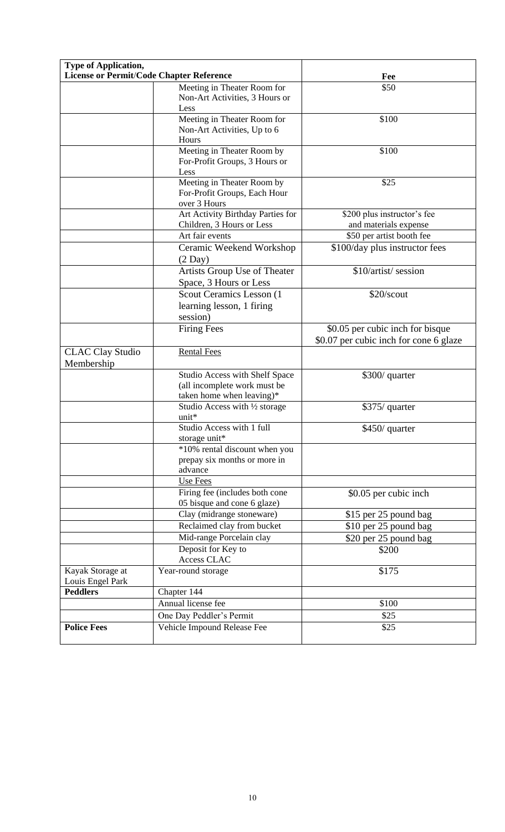| <b>Type of Application,</b><br>License or Permit/Code Chapter Reference |                                                         | Fee                                    |
|-------------------------------------------------------------------------|---------------------------------------------------------|----------------------------------------|
|                                                                         | Meeting in Theater Room for                             | \$50                                   |
|                                                                         | Non-Art Activities, 3 Hours or                          |                                        |
|                                                                         | Less                                                    |                                        |
|                                                                         | Meeting in Theater Room for                             | \$100                                  |
|                                                                         | Non-Art Activities, Up to 6                             |                                        |
|                                                                         | Hours                                                   |                                        |
|                                                                         | Meeting in Theater Room by                              | \$100                                  |
|                                                                         | For-Profit Groups, 3 Hours or                           |                                        |
|                                                                         | Less                                                    |                                        |
|                                                                         | Meeting in Theater Room by                              | \$25                                   |
|                                                                         | For-Profit Groups, Each Hour                            |                                        |
|                                                                         | over 3 Hours                                            |                                        |
|                                                                         | Art Activity Birthday Parties for                       | \$200 plus instructor's fee            |
|                                                                         | Children, 3 Hours or Less                               | and materials expense                  |
|                                                                         | Art fair events                                         | \$50 per artist booth fee              |
|                                                                         | Ceramic Weekend Workshop                                | \$100/day plus instructor fees         |
|                                                                         | $(2$ Day)                                               |                                        |
|                                                                         | Artists Group Use of Theater                            | \$10/artist/ session                   |
|                                                                         | Space, 3 Hours or Less                                  |                                        |
|                                                                         | Scout Ceramics Lesson (1                                | \$20/scout                             |
|                                                                         | learning lesson, 1 firing                               |                                        |
|                                                                         | session)                                                |                                        |
|                                                                         | <b>Firing Fees</b>                                      | \$0.05 per cubic inch for bisque       |
|                                                                         |                                                         | \$0.07 per cubic inch for cone 6 glaze |
| <b>CLAC Clay Studio</b>                                                 | <b>Rental Fees</b>                                      |                                        |
| Membership                                                              |                                                         |                                        |
|                                                                         | Studio Access with Shelf Space                          | \$300/ quarter                         |
|                                                                         | (all incomplete work must be                            |                                        |
|                                                                         | taken home when leaving)*                               |                                        |
|                                                                         | Studio Access with 1/2 storage                          | \$375/ quarter                         |
|                                                                         | unit*                                                   |                                        |
|                                                                         | Studio Access with 1 full                               | \$450/ quarter                         |
|                                                                         | storage unit*                                           |                                        |
|                                                                         | *10% rental discount when you                           |                                        |
|                                                                         | prepay six months or more in                            |                                        |
|                                                                         | advance                                                 |                                        |
|                                                                         | Use Fees                                                |                                        |
|                                                                         | Firing fee (includes both cone                          | \$0.05 per cubic inch                  |
|                                                                         | 05 bisque and cone 6 glaze)                             |                                        |
|                                                                         | Clay (midrange stoneware)                               | \$15 per 25 pound bag                  |
|                                                                         | Reclaimed clay from bucket                              | \$10 per 25 pound bag                  |
|                                                                         | Mid-range Porcelain clay                                | \$20 per 25 pound bag                  |
|                                                                         | Deposit for Key to                                      | \$200                                  |
|                                                                         | Access CLAC                                             |                                        |
| Kayak Storage at<br>Louis Engel Park                                    | Year-round storage                                      | \$175                                  |
| <b>Peddlers</b>                                                         | Chapter 144                                             |                                        |
|                                                                         | Annual license fee                                      | \$100                                  |
|                                                                         |                                                         |                                        |
|                                                                         |                                                         |                                        |
| <b>Police Fees</b>                                                      | One Day Peddler's Permit<br>Vehicle Impound Release Fee | \$25<br>\$25                           |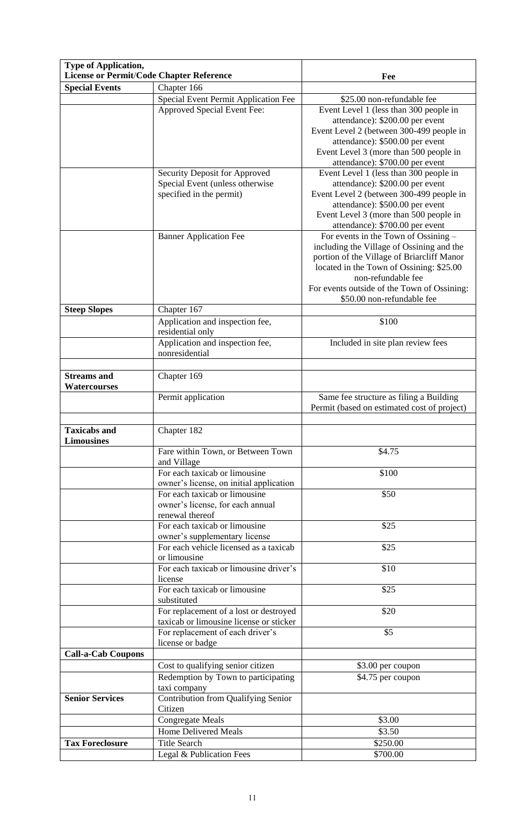| <b>Type of Application,</b><br><b>License or Permit/Code Chapter Reference</b> |                                                                                              | Fee                                                                                                                                                                                                                                                                            |
|--------------------------------------------------------------------------------|----------------------------------------------------------------------------------------------|--------------------------------------------------------------------------------------------------------------------------------------------------------------------------------------------------------------------------------------------------------------------------------|
| <b>Special Events</b>                                                          | Chapter 166                                                                                  |                                                                                                                                                                                                                                                                                |
|                                                                                | Special Event Permit Application Fee                                                         | \$25.00 non-refundable fee                                                                                                                                                                                                                                                     |
|                                                                                | Approved Special Event Fee:                                                                  | Event Level 1 (less than 300 people in<br>attendance): \$200.00 per event<br>Event Level 2 (between 300-499 people in<br>attendance): \$500.00 per event<br>Event Level 3 (more than 500 people in                                                                             |
|                                                                                |                                                                                              | attendance): \$700.00 per event                                                                                                                                                                                                                                                |
|                                                                                | Security Deposit for Approved<br>Special Event (unless otherwise<br>specified in the permit) | Event Level 1 (less than 300 people in<br>attendance): \$200.00 per event<br>Event Level 2 (between 300-499 people in<br>attendance): \$500.00 per event<br>Event Level 3 (more than 500 people in<br>attendance): \$700.00 per event                                          |
|                                                                                | <b>Banner Application Fee</b>                                                                | For events in the Town of Ossining -<br>including the Village of Ossining and the<br>portion of the Village of Briarcliff Manor<br>located in the Town of Ossining: \$25.00<br>non-refundable fee<br>For events outside of the Town of Ossining:<br>\$50.00 non-refundable fee |
| <b>Steep Slopes</b>                                                            | Chapter 167                                                                                  |                                                                                                                                                                                                                                                                                |
|                                                                                | Application and inspection fee,<br>residential only                                          | \$100                                                                                                                                                                                                                                                                          |
|                                                                                | Application and inspection fee,<br>nonresidential                                            | Included in site plan review fees                                                                                                                                                                                                                                              |
|                                                                                |                                                                                              |                                                                                                                                                                                                                                                                                |
| <b>Streams</b> and<br><b>Watercourses</b>                                      | Chapter 169                                                                                  |                                                                                                                                                                                                                                                                                |
|                                                                                | Permit application                                                                           | Same fee structure as filing a Building<br>Permit (based on estimated cost of project)                                                                                                                                                                                         |
| <b>Taxicabs and</b><br><b>Limousines</b>                                       | Chapter 182                                                                                  |                                                                                                                                                                                                                                                                                |
|                                                                                | Fare within Town, or Between Town<br>and Village                                             | \$4.75                                                                                                                                                                                                                                                                         |
|                                                                                | For each taxicab or limousine<br>owner's license, on initial application                     | \$100                                                                                                                                                                                                                                                                          |
|                                                                                | For each taxicab or limousine<br>owner's license, for each annual<br>renewal thereof         | \$50                                                                                                                                                                                                                                                                           |
|                                                                                | For each taxicab or limousine<br>owner's supplementary license                               | \$25                                                                                                                                                                                                                                                                           |
|                                                                                | For each vehicle licensed as a taxicab<br>or limousine                                       | \$25                                                                                                                                                                                                                                                                           |
|                                                                                | For each taxicab or limousine driver's<br>license                                            | \$10                                                                                                                                                                                                                                                                           |
|                                                                                | For each taxicab or limousine<br>substituted                                                 | \$25                                                                                                                                                                                                                                                                           |
|                                                                                | For replacement of a lost or destroyed<br>taxicab or limousine license or sticker            | \$20                                                                                                                                                                                                                                                                           |
|                                                                                | For replacement of each driver's<br>license or badge                                         | \$5                                                                                                                                                                                                                                                                            |
| <b>Call-a-Cab Coupons</b>                                                      |                                                                                              |                                                                                                                                                                                                                                                                                |
|                                                                                | Cost to qualifying senior citizen                                                            | \$3.00 per coupon                                                                                                                                                                                                                                                              |
|                                                                                | Redemption by Town to participating<br>taxi company                                          | \$4.75 per coupon                                                                                                                                                                                                                                                              |
| <b>Senior Services</b>                                                         | Contribution from Qualifying Senior<br>Citizen                                               |                                                                                                                                                                                                                                                                                |
|                                                                                | <b>Congregate Meals</b>                                                                      | \$3.00                                                                                                                                                                                                                                                                         |
|                                                                                | <b>Home Delivered Meals</b>                                                                  | \$3.50                                                                                                                                                                                                                                                                         |
| <b>Tax Foreclosure</b>                                                         | <b>Title Search</b>                                                                          | \$250.00                                                                                                                                                                                                                                                                       |
|                                                                                | Legal & Publication Fees                                                                     | \$700.00                                                                                                                                                                                                                                                                       |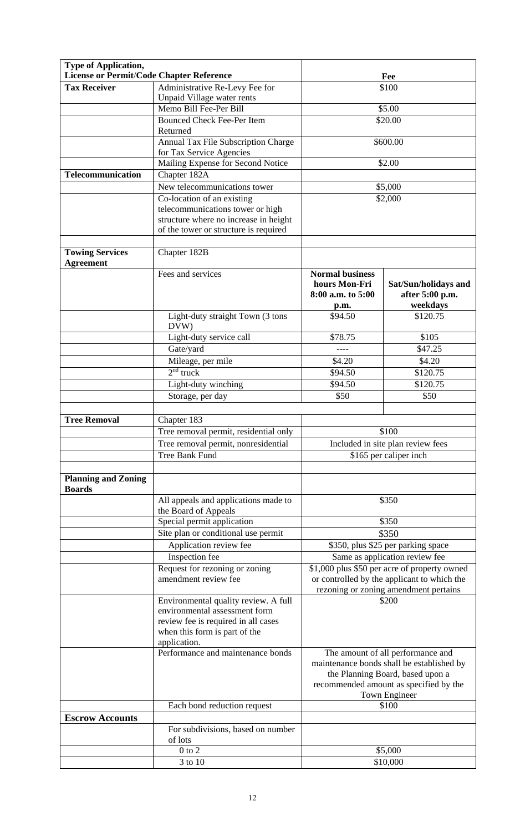| <b>Type of Application,</b>                     |                                                                                                                                                               |                                                                                                                                      |                                                                                                                    |
|-------------------------------------------------|---------------------------------------------------------------------------------------------------------------------------------------------------------------|--------------------------------------------------------------------------------------------------------------------------------------|--------------------------------------------------------------------------------------------------------------------|
| <b>License or Permit/Code Chapter Reference</b> |                                                                                                                                                               | Fee                                                                                                                                  |                                                                                                                    |
| <b>Tax Receiver</b>                             | Administrative Re-Levy Fee for                                                                                                                                | \$100                                                                                                                                |                                                                                                                    |
|                                                 | Unpaid Village water rents                                                                                                                                    |                                                                                                                                      |                                                                                                                    |
|                                                 | Memo Bill Fee-Per Bill                                                                                                                                        |                                                                                                                                      | \$5.00                                                                                                             |
|                                                 | <b>Bounced Check Fee-Per Item</b><br>Returned                                                                                                                 |                                                                                                                                      | \$20.00                                                                                                            |
|                                                 | Annual Tax File Subscription Charge<br>for Tax Service Agencies                                                                                               |                                                                                                                                      | \$600.00                                                                                                           |
|                                                 | Mailing Expense for Second Notice                                                                                                                             |                                                                                                                                      | \$2.00                                                                                                             |
| <b>Telecommunication</b>                        | Chapter 182A                                                                                                                                                  |                                                                                                                                      |                                                                                                                    |
|                                                 | New telecommunications tower                                                                                                                                  |                                                                                                                                      | \$5,000                                                                                                            |
|                                                 | Co-location of an existing                                                                                                                                    |                                                                                                                                      | \$2,000                                                                                                            |
|                                                 | telecommunications tower or high<br>structure where no increase in height<br>of the tower or structure is required                                            |                                                                                                                                      |                                                                                                                    |
| <b>Towing Services</b><br><b>Agreement</b>      | Chapter 182B                                                                                                                                                  |                                                                                                                                      |                                                                                                                    |
|                                                 | Fees and services                                                                                                                                             | <b>Normal business</b><br>hours Mon-Fri<br>8:00 a.m. to 5:00<br>p.m.                                                                 | Sat/Sun/holidays and<br>after 5:00 p.m.<br>weekdays                                                                |
|                                                 | Light-duty straight Town (3 tons<br>DVW)                                                                                                                      | \$94.50                                                                                                                              | \$120.75                                                                                                           |
|                                                 | Light-duty service call                                                                                                                                       | \$78.75                                                                                                                              | \$105                                                                                                              |
|                                                 | Gate/yard                                                                                                                                                     | ----                                                                                                                                 | \$47.25                                                                                                            |
|                                                 | Mileage, per mile                                                                                                                                             | \$4.20                                                                                                                               | \$4.20                                                                                                             |
|                                                 | $2nd$ truck                                                                                                                                                   | \$94.50                                                                                                                              | \$120.75                                                                                                           |
|                                                 | Light-duty winching                                                                                                                                           | \$94.50                                                                                                                              | \$120.75                                                                                                           |
|                                                 | Storage, per day                                                                                                                                              | \$50                                                                                                                                 | \$50                                                                                                               |
|                                                 |                                                                                                                                                               |                                                                                                                                      |                                                                                                                    |
| <b>Tree Removal</b>                             | Chapter 183                                                                                                                                                   |                                                                                                                                      |                                                                                                                    |
|                                                 | Tree removal permit, residential only                                                                                                                         | \$100<br>Included in site plan review fees                                                                                           |                                                                                                                    |
|                                                 | Tree removal permit, nonresidential                                                                                                                           |                                                                                                                                      |                                                                                                                    |
|                                                 | Tree Bank Fund                                                                                                                                                | \$165 per caliper inch                                                                                                               |                                                                                                                    |
| <b>Planning and Zoning</b><br><b>Boards</b>     |                                                                                                                                                               |                                                                                                                                      |                                                                                                                    |
|                                                 | All appeals and applications made to<br>the Board of Appeals                                                                                                  |                                                                                                                                      | \$350                                                                                                              |
|                                                 | Special permit application                                                                                                                                    |                                                                                                                                      | \$350                                                                                                              |
|                                                 | Site plan or conditional use permit                                                                                                                           |                                                                                                                                      | \$350                                                                                                              |
|                                                 | Application review fee                                                                                                                                        | \$350, plus \$25 per parking space                                                                                                   |                                                                                                                    |
|                                                 | Inspection fee                                                                                                                                                | Same as application review fee                                                                                                       |                                                                                                                    |
|                                                 | Request for rezoning or zoning<br>amendment review fee                                                                                                        | \$1,000 plus \$50 per acre of property owned<br>or controlled by the applicant to which the<br>rezoning or zoning amendment pertains |                                                                                                                    |
|                                                 | Environmental quality review. A full<br>environmental assessment form<br>review fee is required in all cases<br>when this form is part of the<br>application. |                                                                                                                                      | \$200                                                                                                              |
|                                                 | Performance and maintenance bonds                                                                                                                             |                                                                                                                                      | The amount of all performance and<br>maintenance bonds shall be established by<br>the Planning Board, based upon a |
|                                                 |                                                                                                                                                               |                                                                                                                                      | recommended amount as specified by the<br>Town Engineer                                                            |
|                                                 | Each bond reduction request                                                                                                                                   |                                                                                                                                      | \$100                                                                                                              |
| <b>Escrow Accounts</b>                          | For subdivisions, based on number                                                                                                                             |                                                                                                                                      |                                                                                                                    |
|                                                 | of lots                                                                                                                                                       |                                                                                                                                      |                                                                                                                    |
|                                                 | $0$ to $2$<br>3 to 10                                                                                                                                         |                                                                                                                                      | \$5,000<br>\$10,000                                                                                                |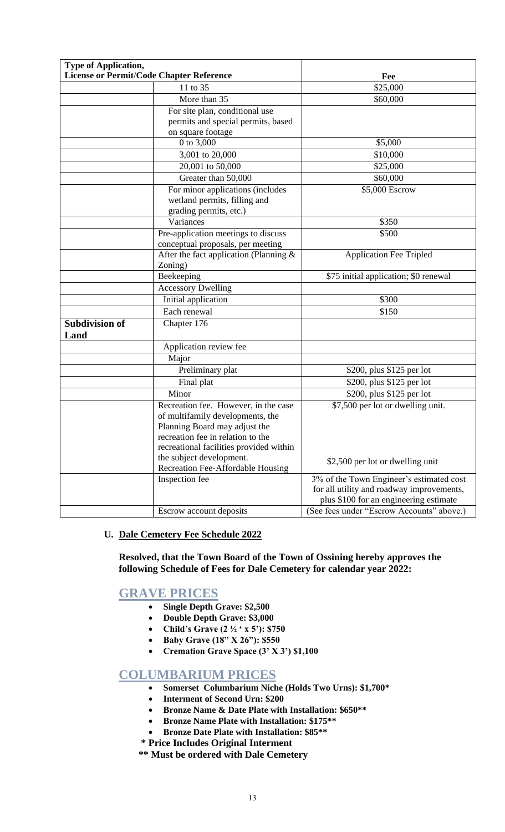| Type of Application,                            |                                                                                                                                                                                           |                                                                                                                                 |
|-------------------------------------------------|-------------------------------------------------------------------------------------------------------------------------------------------------------------------------------------------|---------------------------------------------------------------------------------------------------------------------------------|
| <b>License or Permit/Code Chapter Reference</b> |                                                                                                                                                                                           | Fee                                                                                                                             |
|                                                 | 11 to 35                                                                                                                                                                                  | \$25,000                                                                                                                        |
|                                                 | More than 35                                                                                                                                                                              | \$60,000                                                                                                                        |
|                                                 | For site plan, conditional use                                                                                                                                                            |                                                                                                                                 |
|                                                 | permits and special permits, based                                                                                                                                                        |                                                                                                                                 |
|                                                 | on square footage                                                                                                                                                                         |                                                                                                                                 |
|                                                 | 0 to 3,000                                                                                                                                                                                | \$5,000                                                                                                                         |
|                                                 | 3,001 to 20,000                                                                                                                                                                           | \$10,000                                                                                                                        |
|                                                 | 20,001 to 50,000                                                                                                                                                                          | \$25,000                                                                                                                        |
|                                                 | Greater than 50,000                                                                                                                                                                       | \$60,000                                                                                                                        |
|                                                 | For minor applications (includes<br>wetland permits, filling and<br>grading permits, etc.)                                                                                                | \$5,000 Escrow                                                                                                                  |
|                                                 | Variances                                                                                                                                                                                 | \$350                                                                                                                           |
|                                                 | Pre-application meetings to discuss                                                                                                                                                       | \$500                                                                                                                           |
|                                                 | conceptual proposals, per meeting                                                                                                                                                         |                                                                                                                                 |
|                                                 | After the fact application (Planning &<br>Zoning)                                                                                                                                         | <b>Application Fee Tripled</b>                                                                                                  |
|                                                 | Beekeeping                                                                                                                                                                                | \$75 initial application; \$0 renewal                                                                                           |
|                                                 | <b>Accessory Dwelling</b>                                                                                                                                                                 |                                                                                                                                 |
|                                                 | Initial application                                                                                                                                                                       | \$300                                                                                                                           |
|                                                 | Each renewal                                                                                                                                                                              | \$150                                                                                                                           |
| <b>Subdivision of</b>                           | Chapter 176                                                                                                                                                                               |                                                                                                                                 |
| Land                                            |                                                                                                                                                                                           |                                                                                                                                 |
|                                                 | Application review fee                                                                                                                                                                    |                                                                                                                                 |
|                                                 | Major                                                                                                                                                                                     |                                                                                                                                 |
|                                                 | Preliminary plat                                                                                                                                                                          | \$200, plus \$125 per lot                                                                                                       |
|                                                 | Final plat                                                                                                                                                                                | \$200, plus \$125 per lot                                                                                                       |
|                                                 | Minor                                                                                                                                                                                     | \$200, plus \$125 per lot                                                                                                       |
|                                                 | Recreation fee. However, in the case<br>of multifamily developments, the<br>Planning Board may adjust the<br>recreation fee in relation to the<br>recreational facilities provided within | \$7,500 per lot or dwelling unit.                                                                                               |
|                                                 | the subject development.<br>Recreation Fee-Affordable Housing                                                                                                                             | \$2,500 per lot or dwelling unit                                                                                                |
|                                                 | Inspection fee                                                                                                                                                                            | 3% of the Town Engineer's estimated cost<br>for all utility and roadway improvements,<br>plus \$100 for an engineering estimate |
|                                                 | Escrow account deposits                                                                                                                                                                   | (See fees under "Escrow Accounts" above.)                                                                                       |

# **U. Dale Cemetery Fee Schedule 2022**

**Resolved, that the Town Board of the Town of Ossining hereby approves the following Schedule of Fees for Dale Cemetery for calendar year 2022:**

# **GRAVE PRICES**

- **Single Depth Grave: \$2,500**
- **Double Depth Grave: \$3,000**
- **Child's Grave (2 ½ ' x 5'): \$750**
- **Baby Grave (18" X 26"): \$550**
- **Cremation Grave Space (3' X 3') \$1,100**

# **COLUMBARIUM PRICES**

- **Somerset Columbarium Niche (Holds Two Urns): \$1,700\***
- **Interment of Second Urn: \$200**
- **Bronze Name & Date Plate with Installation: \$650\*\***
- **Bronze Name Plate with Installation: \$175\*\***
- **Bronze Date Plate with Installation: \$85\*\***
- **\* Price Includes Original Interment**
- **\*\* Must be ordered with Dale Cemetery**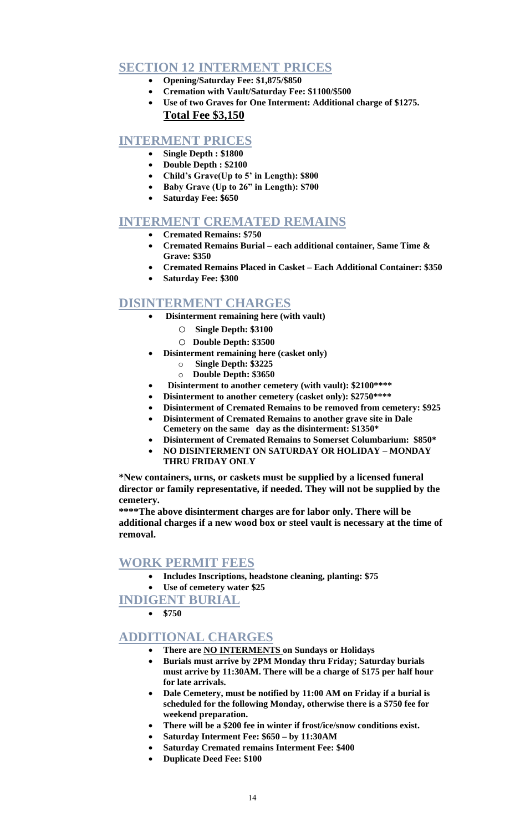# **SECTION 12 INTERMENT PRICES**

- **Opening/Saturday Fee: \$1,875/\$850**
	- **Cremation with Vault/Saturday Fee: \$1100/\$500**
- **Use of two Graves for One Interment: Additional charge of \$1275. Total Fee \$3,150**

# **INTERMENT PRICES**

- **Single Depth : \$1800**
- **Double Depth : \$2100**
- **Child's Grave(Up to 5' in Length): \$800**
- **Baby Grave (Up to 26" in Length): \$700**
- **Saturday Fee: \$650**

# **INTERMENT CREMATED REMAINS**

- **Cremated Remains: \$750**
- **Cremated Remains Burial – each additional container, Same Time & Grave: \$350**
- **Cremated Remains Placed in Casket – Each Additional Container: \$350**
- **Saturday Fee: \$300**

# **DISINTERMENT CHARGES**

- **Disinterment remaining here (with vault)**
	- o **Single Depth: \$3100**
	- o **Double Depth: \$3500**
- **Disinterment remaining here (casket only)**
	- o **Single Depth: \$3225**
	- o **Double Depth: \$3650**
- **Disinterment to another cemetery (with vault): \$2100\*\*\*\***
- **Disinterment to another cemetery (casket only): \$2750\*\*\*\***
- **Disinterment of Cremated Remains to be removed from cemetery: \$925**
	- **Disinterment of Cremated Remains to another grave site in Dale Cemetery on the same day as the disinterment: \$1350\***
	- **Disinterment of Cremated Remains to Somerset Columbarium: \$850\***
	- **NO DISINTERMENT ON SATURDAY OR HOLIDAY – MONDAY THRU FRIDAY ONLY**

**\*New containers, urns, or caskets must be supplied by a licensed funeral director or family representative, if needed. They will not be supplied by the cemetery.** 

**\*\*\*\*The above disinterment charges are for labor only. There will be additional charges if a new wood box or steel vault is necessary at the time of removal.**

# **WORK PERMIT FEES**

- **Includes Inscriptions, headstone cleaning, planting: \$75**
- **Use of cemetery water \$25**

**INDIGENT BURIAL**

**\$750**

# **ADDITIONAL CHARGES**

- **There are NO INTERMENTS on Sundays or Holidays**
- **Burials must arrive by 2PM Monday thru Friday; Saturday burials must arrive by 11:30AM. There will be a charge of \$175 per half hour for late arrivals.**
- **Dale Cemetery, must be notified by 11:00 AM on Friday if a burial is scheduled for the following Monday, otherwise there is a \$750 fee for weekend preparation.**
- **There will be a \$200 fee in winter if frost/ice/snow conditions exist.**
- **Saturday Interment Fee: \$650 – by 11:30AM**
- **Saturday Cremated remains Interment Fee: \$400**
- **Duplicate Deed Fee: \$100**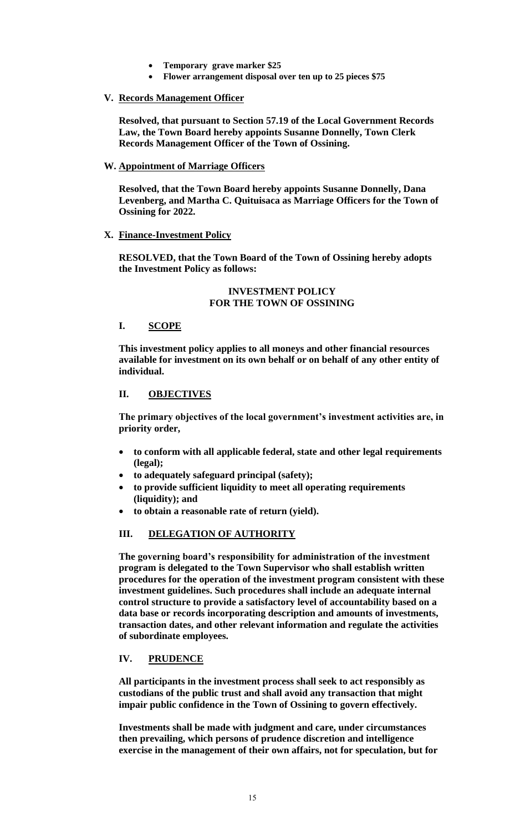- **Temporary grave marker \$25**
- **Flower arrangement disposal over ten up to 25 pieces \$75**

## **V. Records Management Officer**

**Resolved, that pursuant to Section 57.19 of the Local Government Records Law, the Town Board hereby appoints Susanne Donnelly, Town Clerk Records Management Officer of the Town of Ossining.**

## **W. Appointment of Marriage Officers**

**Resolved, that the Town Board hereby appoints Susanne Donnelly, Dana Levenberg, and Martha C. Quituisaca as Marriage Officers for the Town of Ossining for 2022.**

## **X. Finance-Investment Policy**

**RESOLVED, that the Town Board of the Town of Ossining hereby adopts the Investment Policy as follows:**

## **INVESTMENT POLICY FOR THE TOWN OF OSSINING**

## **I. SCOPE**

**This investment policy applies to all moneys and other financial resources available for investment on its own behalf or on behalf of any other entity of individual.**

# **II. OBJECTIVES**

**The primary objectives of the local government's investment activities are, in priority order,**

- **to conform with all applicable federal, state and other legal requirements (legal);**
- **to adequately safeguard principal (safety);**
- **to provide sufficient liquidity to meet all operating requirements (liquidity); and**
- **to obtain a reasonable rate of return (yield).**

# **III. DELEGATION OF AUTHORITY**

**The governing board's responsibility for administration of the investment program is delegated to the Town Supervisor who shall establish written procedures for the operation of the investment program consistent with these investment guidelines. Such procedures shall include an adequate internal control structure to provide a satisfactory level of accountability based on a data base or records incorporating description and amounts of investments, transaction dates, and other relevant information and regulate the activities of subordinate employees.**

# **IV. PRUDENCE**

**All participants in the investment process shall seek to act responsibly as custodians of the public trust and shall avoid any transaction that might impair public confidence in the Town of Ossining to govern effectively.**

**Investments shall be made with judgment and care, under circumstances then prevailing, which persons of prudence discretion and intelligence exercise in the management of their own affairs, not for speculation, but for**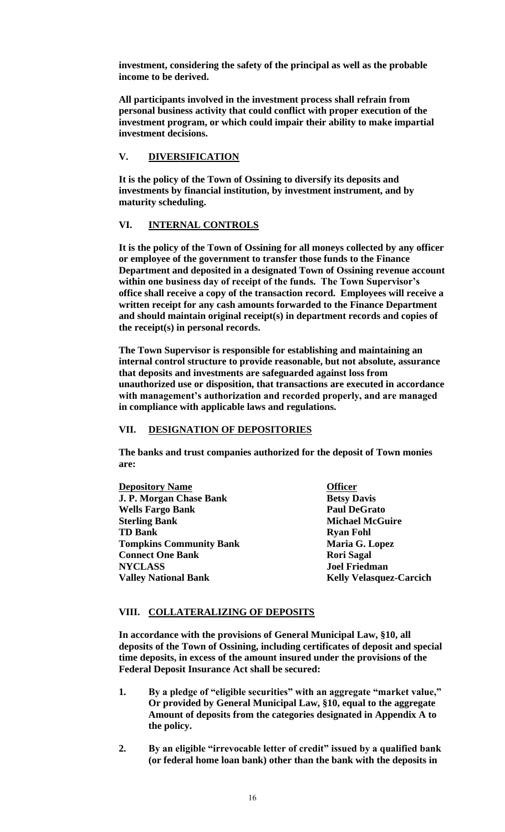**investment, considering the safety of the principal as well as the probable income to be derived.**

**All participants involved in the investment process shall refrain from personal business activity that could conflict with proper execution of the investment program, or which could impair their ability to make impartial investment decisions.**

# **V. DIVERSIFICATION**

**It is the policy of the Town of Ossining to diversify its deposits and investments by financial institution, by investment instrument, and by maturity scheduling.**

## **VI. INTERNAL CONTROLS**

**It is the policy of the Town of Ossining for all moneys collected by any officer or employee of the government to transfer those funds to the Finance Department and deposited in a designated Town of Ossining revenue account within one business day of receipt of the funds. The Town Supervisor's office shall receive a copy of the transaction record. Employees will receive a written receipt for any cash amounts forwarded to the Finance Department and should maintain original receipt(s) in department records and copies of the receipt(s) in personal records.**

**The Town Supervisor is responsible for establishing and maintaining an internal control structure to provide reasonable, but not absolute, assurance that deposits and investments are safeguarded against loss from unauthorized use or disposition, that transactions are executed in accordance with management's authorization and recorded properly, and are managed in compliance with applicable laws and regulations.**

### **VII. DESIGNATION OF DEPOSITORIES**

**The banks and trust companies authorized for the deposit of Town monies are:**

**Depository Name Officer J. P. Morgan Chase Bank Betsy Davis**<br> **Betsy Davis**<br> **Betsy Davis**<br> **Betsy Davis Wells Fargo Bank Sterling Bank Michael McGuire TD Bank Ryan Fohl Tompkins Community Bank Maria G. Lopez Connect One Bank Rori Sagal NYCLASS Joel Friedman Valley National Bank Kelly Velasquez-Carcich** 

#### **VIII. COLLATERALIZING OF DEPOSITS**

**In accordance with the provisions of General Municipal Law, §10, all deposits of the Town of Ossining, including certificates of deposit and special time deposits, in excess of the amount insured under the provisions of the Federal Deposit Insurance Act shall be secured:**

- **1. By a pledge of "eligible securities" with an aggregate "market value," Or provided by General Municipal Law, §10, equal to the aggregate Amount of deposits from the categories designated in Appendix A to the policy.**
- **2. By an eligible "irrevocable letter of credit" issued by a qualified bank (or federal home loan bank) other than the bank with the deposits in**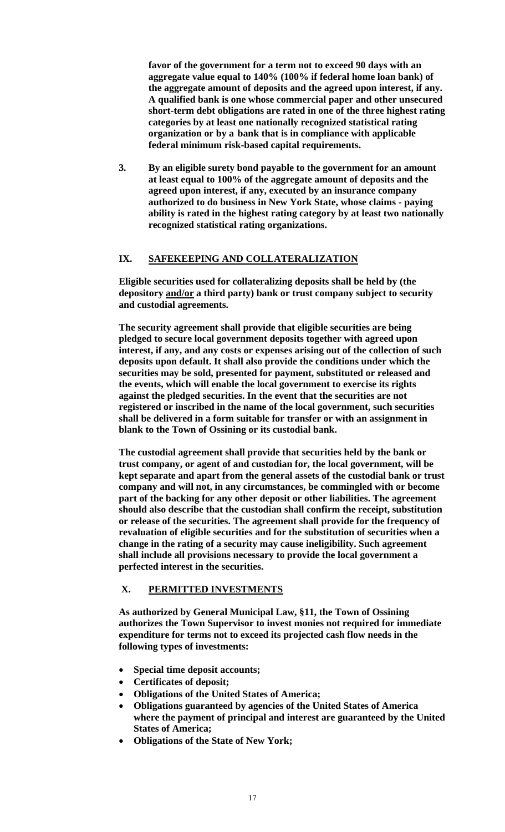**favor of the government for a term not to exceed 90 days with an aggregate value equal to 140% (100% if federal home loan bank) of the aggregate amount of deposits and the agreed upon interest, if any. A qualified bank is one whose commercial paper and other unsecured short-term debt obligations are rated in one of the three highest rating categories by at least one nationally recognized statistical rating organization or by a bank that is in compliance with applicable federal minimum risk-based capital requirements.**

**3. By an eligible surety bond payable to the government for an amount at least equal to 100% of the aggregate amount of deposits and the agreed upon interest, if any, executed by an insurance company authorized to do business in New York State, whose claims - paying ability is rated in the highest rating category by at least two nationally recognized statistical rating organizations.**

# **IX. SAFEKEEPING AND COLLATERALIZATION**

**Eligible securities used for collateralizing deposits shall be held by (the depository and/or a third party) bank or trust company subject to security and custodial agreements.**

**The security agreement shall provide that eligible securities are being pledged to secure local government deposits together with agreed upon interest, if any, and any costs or expenses arising out of the collection of such deposits upon default. It shall also provide the conditions under which the securities may be sold, presented for payment, substituted or released and the events, which will enable the local government to exercise its rights against the pledged securities. In the event that the securities are not registered or inscribed in the name of the local government, such securities shall be delivered in a form suitable for transfer or with an assignment in blank to the Town of Ossining or its custodial bank.**

**The custodial agreement shall provide that securities held by the bank or trust company, or agent of and custodian for, the local government, will be kept separate and apart from the general assets of the custodial bank or trust company and will not, in any circumstances, be commingled with or become part of the backing for any other deposit or other liabilities. The agreement should also describe that the custodian shall confirm the receipt, substitution or release of the securities. The agreement shall provide for the frequency of revaluation of eligible securities and for the substitution of securities when a change in the rating of a security may cause ineligibility. Such agreement shall include all provisions necessary to provide the local government a perfected interest in the securities.**

# **X. PERMITTED INVESTMENTS**

**As authorized by General Municipal Law, §11, the Town of Ossining authorizes the Town Supervisor to invest monies not required for immediate expenditure for terms not to exceed its projected cash flow needs in the following types of investments:**

- **Special time deposit accounts;**
- **Certificates of deposit;**
- **Obligations of the United States of America;**
- **Obligations guaranteed by agencies of the United States of America where the payment of principal and interest are guaranteed by the United States of America;**
- **Obligations of the State of New York;**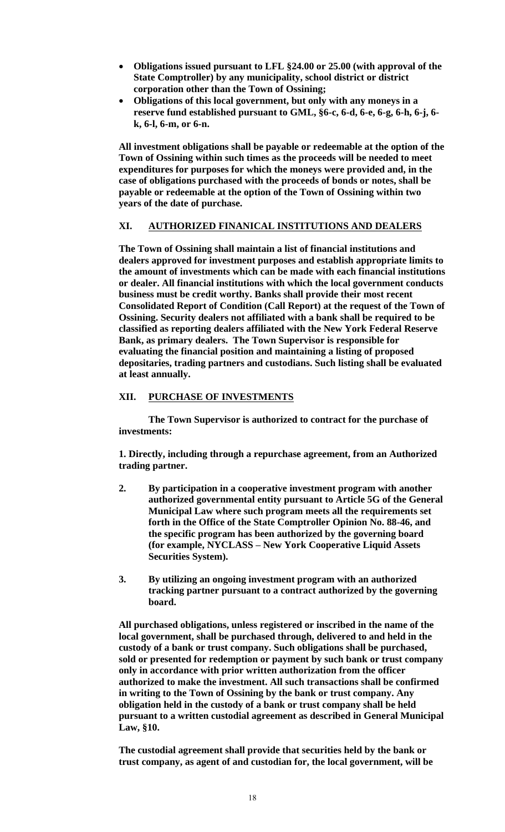- **Obligations issued pursuant to LFL §24.00 or 25.00 (with approval of the State Comptroller) by any municipality, school district or district corporation other than the Town of Ossining;**
- **Obligations of this local government, but only with any moneys in a reserve fund established pursuant to GML, §6-c, 6-d, 6-e, 6-g, 6-h, 6-j, 6 k, 6-l, 6-m, or 6-n.**

**All investment obligations shall be payable or redeemable at the option of the Town of Ossining within such times as the proceeds will be needed to meet expenditures for purposes for which the moneys were provided and, in the case of obligations purchased with the proceeds of bonds or notes, shall be payable or redeemable at the option of the Town of Ossining within two years of the date of purchase.**

# **XI. AUTHORIZED FINANICAL INSTITUTIONS AND DEALERS**

**The Town of Ossining shall maintain a list of financial institutions and dealers approved for investment purposes and establish appropriate limits to the amount of investments which can be made with each financial institutions or dealer. All financial institutions with which the local government conducts business must be credit worthy. Banks shall provide their most recent Consolidated Report of Condition (Call Report) at the request of the Town of Ossining. Security dealers not affiliated with a bank shall be required to be classified as reporting dealers affiliated with the New York Federal Reserve Bank, as primary dealers. The Town Supervisor is responsible for evaluating the financial position and maintaining a listing of proposed depositaries, trading partners and custodians. Such listing shall be evaluated at least annually.**

# **XII. PURCHASE OF INVESTMENTS**

**The Town Supervisor is authorized to contract for the purchase of investments:**

**1. Directly, including through a repurchase agreement, from an Authorized trading partner.**

- **2. By participation in a cooperative investment program with another authorized governmental entity pursuant to Article 5G of the General Municipal Law where such program meets all the requirements set forth in the Office of the State Comptroller Opinion No. 88-46, and the specific program has been authorized by the governing board (for example, NYCLASS – New York Cooperative Liquid Assets Securities System).**
- **3. By utilizing an ongoing investment program with an authorized tracking partner pursuant to a contract authorized by the governing board.**

**All purchased obligations, unless registered or inscribed in the name of the local government, shall be purchased through, delivered to and held in the custody of a bank or trust company. Such obligations shall be purchased, sold or presented for redemption or payment by such bank or trust company only in accordance with prior written authorization from the officer authorized to make the investment. All such transactions shall be confirmed in writing to the Town of Ossining by the bank or trust company. Any obligation held in the custody of a bank or trust company shall be held pursuant to a written custodial agreement as described in General Municipal Law, §10.**

**The custodial agreement shall provide that securities held by the bank or trust company, as agent of and custodian for, the local government, will be**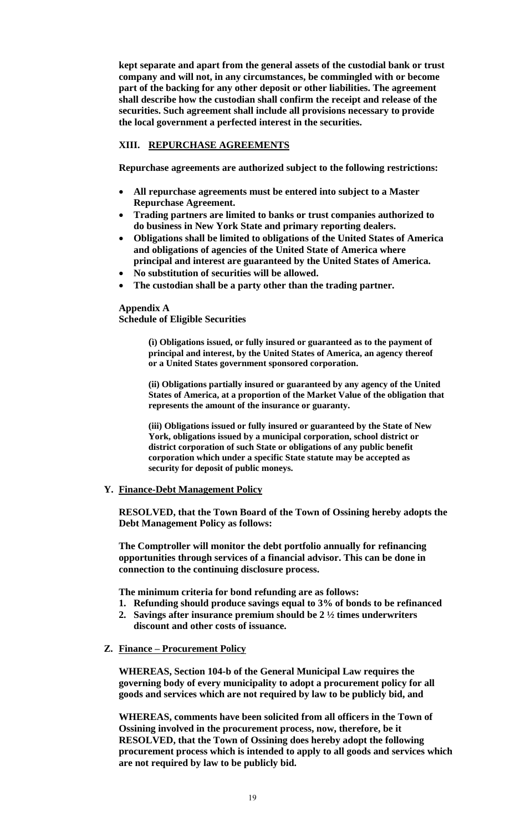**kept separate and apart from the general assets of the custodial bank or trust company and will not, in any circumstances, be commingled with or become part of the backing for any other deposit or other liabilities. The agreement shall describe how the custodian shall confirm the receipt and release of the securities. Such agreement shall include all provisions necessary to provide the local government a perfected interest in the securities.**

# **XIII. REPURCHASE AGREEMENTS**

**Repurchase agreements are authorized subject to the following restrictions:**

- **All repurchase agreements must be entered into subject to a Master Repurchase Agreement.**
- **Trading partners are limited to banks or trust companies authorized to do business in New York State and primary reporting dealers.**
- **Obligations shall be limited to obligations of the United States of America and obligations of agencies of the United State of America where principal and interest are guaranteed by the United States of America.**
- **No substitution of securities will be allowed.**
- **The custodian shall be a party other than the trading partner.**

**Appendix A Schedule of Eligible Securities**

> **(ì) Obligations issued, or fully insured or guaranteed as to the payment of principal and interest, by the United States of America, an agency thereof or a United States government sponsored corporation.**

**(ii) Obligations partially insured or guaranteed by any agency of the United States of America, at a proportion of the Market Value of the obligation that represents the amount of the insurance or guaranty.**

**(iii) Obligations issued or fully insured or guaranteed by the State of New York, obligations issued by a municipal corporation, school district or district corporation of such State or obligations of any public benefit corporation which under a specific State statute may be accepted as security for deposit of public moneys.**

#### **Y. Finance-Debt Management Policy**

**RESOLVED, that the Town Board of the Town of Ossining hereby adopts the Debt Management Policy as follows:**

**The Comptroller will monitor the debt portfolio annually for refinancing opportunities through services of a financial advisor. This can be done in connection to the continuing disclosure process.**

**The minimum criteria for bond refunding are as follows:**

- **1. Refunding should produce savings equal to 3% of bonds to be refinanced**
- **2. Savings after insurance premium should be 2 ½ times underwriters**
- **discount and other costs of issuance.**
- **Z. Finance – Procurement Policy**

**WHEREAS, Section 104-b of the General Municipal Law requires the governing body of every municipality to adopt a procurement policy for all goods and services which are not required by law to be publicly bid, and**

**WHEREAS, comments have been solicited from all officers in the Town of Ossining involved in the procurement process, now, therefore, be it RESOLVED, that the Town of Ossining does hereby adopt the following procurement process which is intended to apply to all goods and services which are not required by law to be publicly bid.**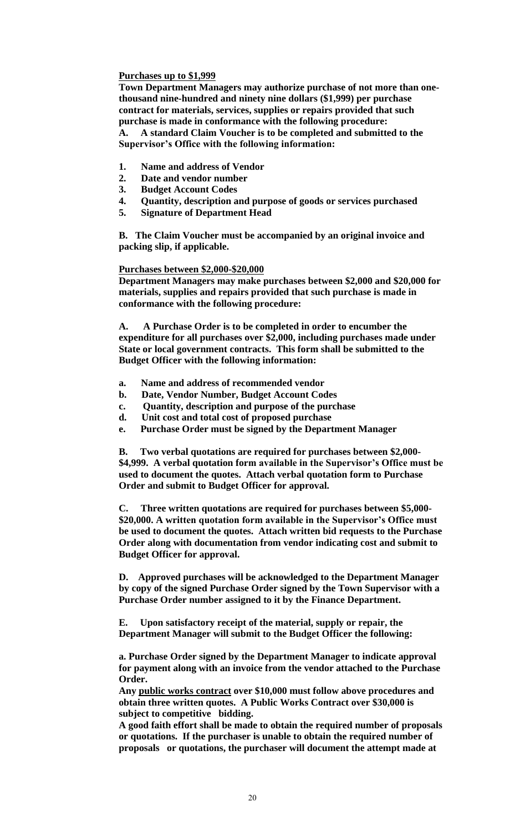## **Purchases up to \$1,999**

**Town Department Managers may authorize purchase of not more than onethousand nine-hundred and ninety nine dollars (\$1,999) per purchase contract for materials, services, supplies or repairs provided that such purchase is made in conformance with the following procedure: A. A standard Claim Voucher is to be completed and submitted to the Supervisor's Office with the following information:**

- **1. Name and address of Vendor**
- **2. Date and vendor number**
- **3. Budget Account Codes**
- **4. Quantity, description and purpose of goods or services purchased**
- **5. Signature of Department Head**

**B. The Claim Voucher must be accompanied by an original invoice and packing slip, if applicable.**

#### **Purchases between \$2,000-\$20,000**

**Department Managers may make purchases between \$2,000 and \$20,000 for materials, supplies and repairs provided that such purchase is made in conformance with the following procedure:**

**A. A Purchase Order is to be completed in order to encumber the expenditure for all purchases over \$2,000, including purchases made under State or local government contracts. This form shall be submitted to the Budget Officer with the following information:**

- **a. Name and address of recommended vendor**
- **b. Date, Vendor Number, Budget Account Codes**
- **c. Quantity, description and purpose of the purchase**
- **d. Unit cost and total cost of proposed purchase**
- **e. Purchase Order must be signed by the Department Manager**

**B. Two verbal quotations are required for purchases between \$2,000- \$4,999. A verbal quotation form available in the Supervisor's Office must be used to document the quotes. Attach verbal quotation form to Purchase Order and submit to Budget Officer for approval.**

**C. Three written quotations are required for purchases between \$5,000- \$20,000. A written quotation form available in the Supervisor's Office must be used to document the quotes. Attach written bid requests to the Purchase Order along with documentation from vendor indicating cost and submit to Budget Officer for approval.** 

**D. Approved purchases will be acknowledged to the Department Manager by copy of the signed Purchase Order signed by the Town Supervisor with a Purchase Order number assigned to it by the Finance Department.**

**E. Upon satisfactory receipt of the material, supply or repair, the Department Manager will submit to the Budget Officer the following:**

**a. Purchase Order signed by the Department Manager to indicate approval for payment along with an invoice from the vendor attached to the Purchase Order.**

**Any public works contract over \$10,000 must follow above procedures and obtain three written quotes. A Public Works Contract over \$30,000 is subject to competitive bidding.**

**A good faith effort shall be made to obtain the required number of proposals or quotations. If the purchaser is unable to obtain the required number of proposals or quotations, the purchaser will document the attempt made at**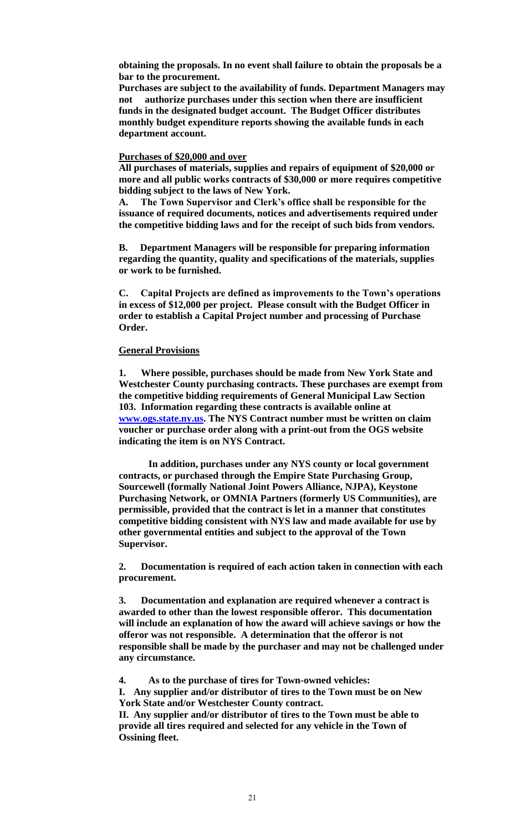**obtaining the proposals. In no event shall failure to obtain the proposals be a bar to the procurement.**

**Purchases are subject to the availability of funds. Department Managers may not authorize purchases under this section when there are insufficient funds in the designated budget account. The Budget Officer distributes monthly budget expenditure reports showing the available funds in each department account.**

### **Purchases of \$20,000 and over**

**All purchases of materials, supplies and repairs of equipment of \$20,000 or more and all public works contracts of \$30,000 or more requires competitive bidding subject to the laws of New York.**

**A. The Town Supervisor and Clerk's office shall be responsible for the issuance of required documents, notices and advertisements required under the competitive bidding laws and for the receipt of such bids from vendors.**

**B. Department Managers will be responsible for preparing information regarding the quantity, quality and specifications of the materials, supplies or work to be furnished.**

**C. Capital Projects are defined as improvements to the Town's operations in excess of \$12,000 per project. Please consult with the Budget Officer in order to establish a Capital Project number and processing of Purchase Order.**

### **General Provisions**

**1. Where possible, purchases should be made from New York State and Westchester County purchasing contracts. These purchases are exempt from the competitive bidding requirements of General Municipal Law Section 103. Information regarding these contracts is available online at [www.ogs.state.ny.us.](http://www.ogs.state.ny.us/) The NYS Contract number must be written on claim voucher or purchase order along with a print-out from the OGS website indicating the item is on NYS Contract.**

**In addition, purchases under any NYS county or local government contracts, or purchased through the Empire State Purchasing Group, Sourcewell (formally National Joint Powers Alliance, NJPA), Keystone Purchasing Network, or OMNIA Partners (formerly US Communities), are permissible, provided that the contract is let in a manner that constitutes competitive bidding consistent with NYS law and made available for use by other governmental entities and subject to the approval of the Town Supervisor.**

**2. Documentation is required of each action taken in connection with each procurement.**

**3. Documentation and explanation are required whenever a contract is awarded to other than the lowest responsible offeror. This documentation will include an explanation of how the award will achieve savings or how the offeror was not responsible. A determination that the offeror is not responsible shall be made by the purchaser and may not be challenged under any circumstance.**

**4. As to the purchase of tires for Town-owned vehicles:**

**I. Any supplier and/or distributor of tires to the Town must be on New York State and/or Westchester County contract.**

**II. Any supplier and/or distributor of tires to the Town must be able to provide all tires required and selected for any vehicle in the Town of Ossining fleet.**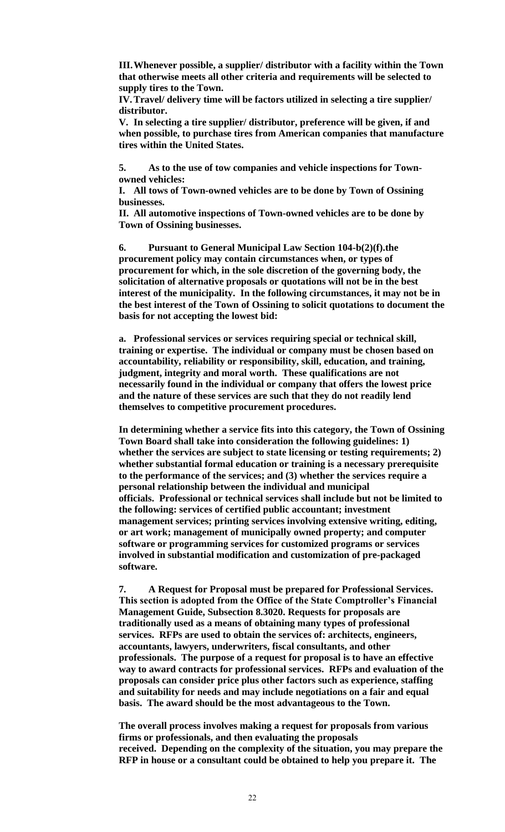**III.Whenever possible, a supplier/ distributor with a facility within the Town that otherwise meets all other criteria and requirements will be selected to supply tires to the Town.**

**IV.Travel/ delivery time will be factors utilized in selecting a tire supplier/ distributor.**

**V. In selecting a tire supplier/ distributor, preference will be given, if and when possible, to purchase tires from American companies that manufacture tires within the United States.**

**5. As to the use of tow companies and vehicle inspections for Townowned vehicles:**

**I. All tows of Town-owned vehicles are to be done by Town of Ossining businesses.**

**II. All automotive inspections of Town-owned vehicles are to be done by Town of Ossining businesses.**

**6. Pursuant to General Municipal Law Section 104-b(2)(f).the procurement policy may contain circumstances when, or types of procurement for which, in the sole discretion of the governing body, the solicitation of alternative proposals or quotations will not be in the best interest of the municipality. In the following circumstances, it may not be in the best interest of the Town of Ossining to solicit quotations to document the basis for not accepting the lowest bid:** 

**a. Professional services or services requiring special or technical skill, training or expertise. The individual or company must be chosen based on accountability, reliability or responsibility, skill, education, and training, judgment, integrity and moral worth. These qualifications are not necessarily found in the individual or company that offers the lowest price and the nature of these services are such that they do not readily lend themselves to competitive procurement procedures.**

**In determining whether a service fits into this category, the Town of Ossining Town Board shall take into consideration the following guidelines: 1) whether the services are subject to state licensing or testing requirements; 2) whether substantial formal education or training is a necessary prerequisite to the performance of the services; and (3) whether the services require a personal relationship between the individual and municipal officials. Professional or technical services shall include but not be limited to the following: services of certified public accountant; investment management services; printing services involving extensive writing, editing, or art work; management of municipally owned property; and computer software or programming services for customized programs or services involved in substantial modification and customization of pre-packaged software.**

**7. A Request for Proposal must be prepared for Professional Services. This section is adopted from the Office of the State Comptroller's Financial Management Guide, Subsection 8.3020. Requests for proposals are traditionally used as a means of obtaining many types of professional services. RFPs are used to obtain the services of: architects, engineers, accountants, lawyers, underwriters, fiscal consultants, and other professionals. The purpose of a request for proposal is to have an effective way to award contracts for professional services. RFPs and evaluation of the proposals can consider price plus other factors such as experience, staffing and suitability for needs and may include negotiations on a fair and equal basis. The award should be the most advantageous to the Town.**

**The overall process involves making a request for proposals from various firms or professionals, and then evaluating the proposals received. Depending on the complexity of the situation, you may prepare the RFP in house or a consultant could be obtained to help you prepare it. The**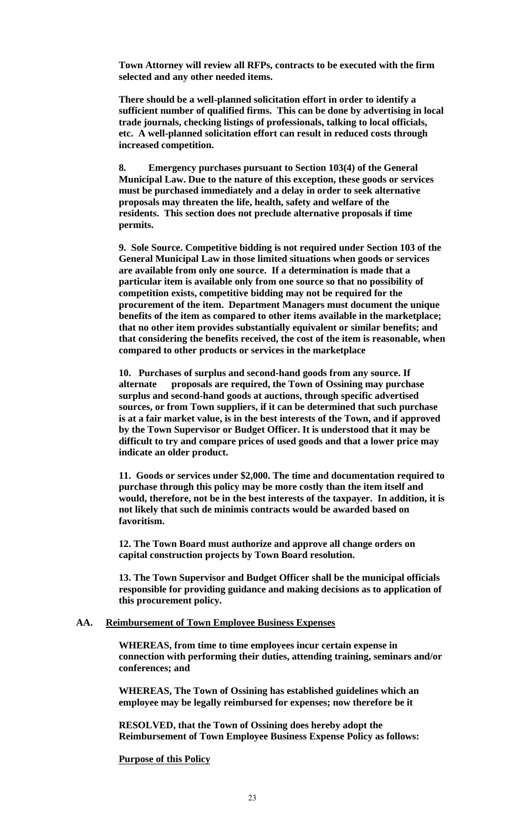**Town Attorney will review all RFPs, contracts to be executed with the firm selected and any other needed items.**

**There should be a well-planned solicitation effort in order to identify a sufficient number of qualified firms. This can be done by advertising in local trade journals, checking listings of professionals, talking to local officials, etc. A well-planned solicitation effort can result in reduced costs through increased competition.**

**8. Emergency purchases pursuant to Section 103(4) of the General Municipal Law. Due to the nature of this exception, these goods or services must be purchased immediately and a delay in order to seek alternative proposals may threaten the life, health, safety and welfare of the residents. This section does not preclude alternative proposals if time permits.**

**9. Sole Source. Competitive bidding is not required under Section 103 of the General Municipal Law in those limited situations when goods or services are available from only one source. If a determination is made that a particular item is available only from one source so that no possibility of competition exists, competitive bidding may not be required for the procurement of the item. Department Managers must document the unique benefits of the item as compared to other items available in the marketplace; that no other item provides substantially equivalent or similar benefits; and that considering the benefits received, the cost of the item is reasonable, when compared to other products or services in the marketplace**

**10. Purchases of surplus and second-hand goods from any source. If alternate proposals are required, the Town of Ossining may purchase surplus and second-hand goods at auctions, through specific advertised sources, or from Town suppliers, if it can be determined that such purchase is at a fair market value, is in the best interests of the Town, and if approved by the Town Supervisor or Budget Officer. It is understood that it may be difficult to try and compare prices of used goods and that a lower price may indicate an older product.**

**11. Goods or services under \$2,000. The time and documentation required to purchase through this policy may be more costly than the item itself and would, therefore, not be in the best interests of the taxpayer. In addition, it is not likely that such de minimis contracts would be awarded based on favoritism.**

**12. The Town Board must authorize and approve all change orders on capital construction projects by Town Board resolution.**

**13. The Town Supervisor and Budget Officer shall be the municipal officials responsible for providing guidance and making decisions as to application of this procurement policy.**

## **AA. Reimbursement of Town Employee Business Expenses**

**WHEREAS, from time to time employees incur certain expense in connection with performing their duties, attending training, seminars and/or conferences; and**

**WHEREAS, The Town of Ossining has established guidelines which an employee may be legally reimbursed for expenses; now therefore be it**

**RESOLVED, that the Town of Ossining does hereby adopt the Reimbursement of Town Employee Business Expense Policy as follows:**

**Purpose of this Policy**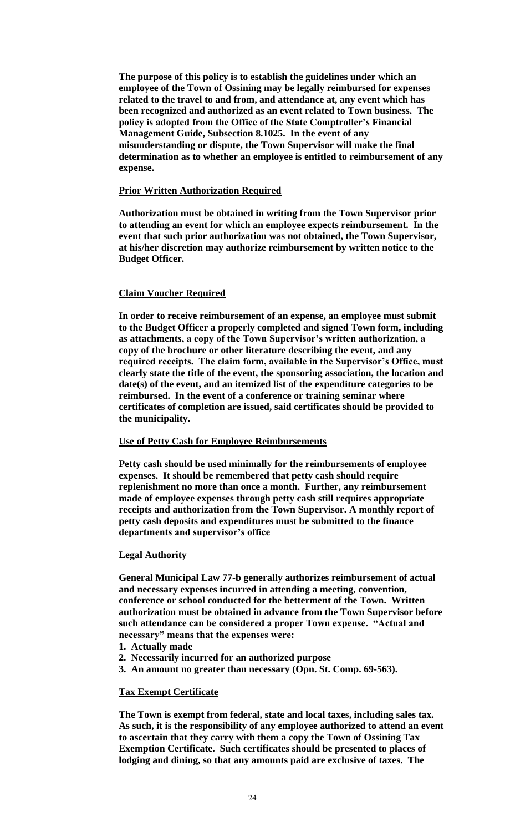**The purpose of this policy is to establish the guidelines under which an employee of the Town of Ossining may be legally reimbursed for expenses related to the travel to and from, and attendance at, any event which has been recognized and authorized as an event related to Town business. The policy is adopted from the Office of the State Comptroller's Financial Management Guide, Subsection 8.1025. In the event of any misunderstanding or dispute, the Town Supervisor will make the final determination as to whether an employee is entitled to reimbursement of any expense.**

## **Prior Written Authorization Required**

**Authorization must be obtained in writing from the Town Supervisor prior to attending an event for which an employee expects reimbursement. In the event that such prior authorization was not obtained, the Town Supervisor, at his/her discretion may authorize reimbursement by written notice to the Budget Officer.**

# **Claim Voucher Required**

**In order to receive reimbursement of an expense, an employee must submit to the Budget Officer a properly completed and signed Town form, including as attachments, a copy of the Town Supervisor's written authorization, a copy of the brochure or other literature describing the event, and any required receipts. The claim form, available in the Supervisor's Office, must clearly state the title of the event, the sponsoring association, the location and date(s) of the event, and an itemized list of the expenditure categories to be reimbursed. In the event of a conference or training seminar where certificates of completion are issued, said certificates should be provided to the municipality.**

### **Use of Petty Cash for Employee Reimbursements**

**Petty cash should be used minimally for the reimbursements of employee expenses. It should be remembered that petty cash should require replenishment no more than once a month. Further, any reimbursement made of employee expenses through petty cash still requires appropriate receipts and authorization from the Town Supervisor. A monthly report of petty cash deposits and expenditures must be submitted to the finance departments and supervisor's office** 

# **Legal Authority**

**General Municipal Law 77-b generally authorizes reimbursement of actual and necessary expenses incurred in attending a meeting, convention, conference or school conducted for the betterment of the Town. Written authorization must be obtained in advance from the Town Supervisor before such attendance can be considered a proper Town expense. "Actual and necessary" means that the expenses were:**

- **1. Actually made**
- **2. Necessarily incurred for an authorized purpose**
- **3. An amount no greater than necessary (Opn. St. Comp. 69-563).**

# **Tax Exempt Certificate**

**The Town is exempt from federal, state and local taxes, including sales tax. As such, it is the responsibility of any employee authorized to attend an event to ascertain that they carry with them a copy the Town of Ossining Tax Exemption Certificate. Such certificates should be presented to places of lodging and dining, so that any amounts paid are exclusive of taxes. The**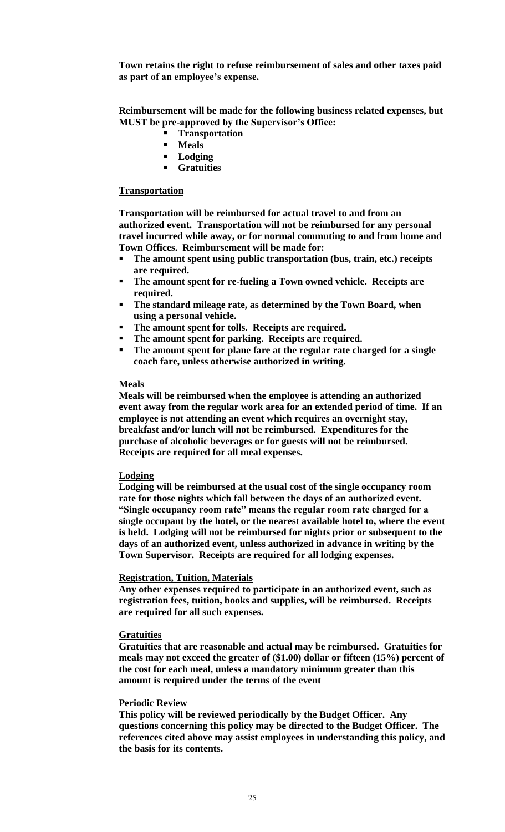**Town retains the right to refuse reimbursement of sales and other taxes paid as part of an employee's expense.**

**Reimbursement will be made for the following business related expenses, but MUST be pre-approved by the Supervisor's Office:**

- **Figure 1** Transportation
- **Meals**
- **Lodging**
- **Gratuities**

## **Transportation**

**Transportation will be reimbursed for actual travel to and from an authorized event. Transportation will not be reimbursed for any personal travel incurred while away, or for normal commuting to and from home and Town Offices. Reimbursement will be made for:**

- **The amount spent using public transportation (bus, train, etc.) receipts are required.**
- **The amount spent for re-fueling a Town owned vehicle. Receipts are required.**
- **The standard mileage rate, as determined by the Town Board, when using a personal vehicle.**
- **The amount spent for tolls. Receipts are required.**
- **The amount spent for parking. Receipts are required.**
- **The amount spent for plane fare at the regular rate charged for a single coach fare, unless otherwise authorized in writing.**

#### **Meals**

**Meals will be reimbursed when the employee is attending an authorized event away from the regular work area for an extended period of time. If an employee is not attending an event which requires an overnight stay, breakfast and/or lunch will not be reimbursed. Expenditures for the purchase of alcoholic beverages or for guests will not be reimbursed. Receipts are required for all meal expenses.** 

### **Lodging**

**Lodging will be reimbursed at the usual cost of the single occupancy room rate for those nights which fall between the days of an authorized event. "Single occupancy room rate" means the regular room rate charged for a single occupant by the hotel, or the nearest available hotel to, where the event is held. Lodging will not be reimbursed for nights prior or subsequent to the days of an authorized event, unless authorized in advance in writing by the Town Supervisor. Receipts are required for all lodging expenses.**

#### **Registration, Tuition, Materials**

**Any other expenses required to participate in an authorized event, such as registration fees, tuition, books and supplies, will be reimbursed. Receipts are required for all such expenses.**

#### **Gratuities**

**Gratuities that are reasonable and actual may be reimbursed. Gratuities for meals may not exceed the greater of (\$1.00) dollar or fifteen (15%) percent of the cost for each meal, unless a mandatory minimum greater than this amount is required under the terms of the event**

#### **Periodic Review**

**This policy will be reviewed periodically by the Budget Officer. Any questions concerning this policy may be directed to the Budget Officer. The references cited above may assist employees in understanding this policy, and the basis for its contents.**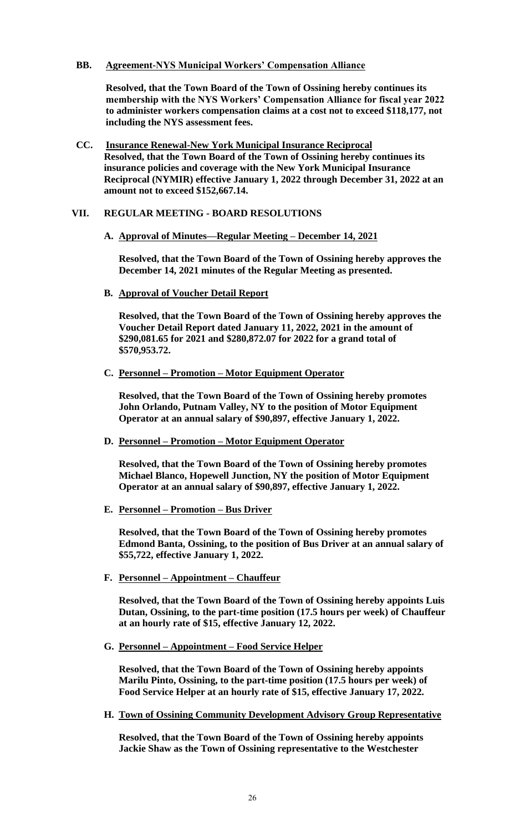## **BB. Agreement-NYS Municipal Workers' Compensation Alliance**

**Resolved, that the Town Board of the Town of Ossining hereby continues its membership with the NYS Workers' Compensation Alliance for fiscal year 2022 to administer workers compensation claims at a cost not to exceed \$118,177, not including the NYS assessment fees.**

**CC. Insurance Renewal-New York Municipal Insurance Reciprocal Resolved, that the Town Board of the Town of Ossining hereby continues its insurance policies and coverage with the New York Municipal Insurance Reciprocal (NYMIR) effective January 1, 2022 through December 31, 2022 at an amount not to exceed \$152,667.14.**

## **VII. REGULAR MEETING - BOARD RESOLUTIONS**

# **A. Approval of Minutes—Regular Meeting – December 14, 2021**

**Resolved, that the Town Board of the Town of Ossining hereby approves the December 14, 2021 minutes of the Regular Meeting as presented.**

**B. Approval of Voucher Detail Report**

**Resolved, that the Town Board of the Town of Ossining hereby approves the Voucher Detail Report dated January 11, 2022, 2021 in the amount of \$290,081.65 for 2021 and \$280,872.07 for 2022 for a grand total of \$570,953.72.**

**C. Personnel – Promotion – Motor Equipment Operator**

**Resolved, that the Town Board of the Town of Ossining hereby promotes John Orlando, Putnam Valley, NY to the position of Motor Equipment Operator at an annual salary of \$90,897, effective January 1, 2022.**

**D. Personnel – Promotion – Motor Equipment Operator**

**Resolved, that the Town Board of the Town of Ossining hereby promotes Michael Blanco, Hopewell Junction, NY the position of Motor Equipment Operator at an annual salary of \$90,897, effective January 1, 2022.** 

**E. Personnel – Promotion – Bus Driver**

**Resolved, that the Town Board of the Town of Ossining hereby promotes Edmond Banta, Ossining, to the position of Bus Driver at an annual salary of \$55,722, effective January 1, 2022.** 

**F. Personnel – Appointment – Chauffeur**

**Resolved, that the Town Board of the Town of Ossining hereby appoints Luis Dutan, Ossining, to the part-time position (17.5 hours per week) of Chauffeur at an hourly rate of \$15, effective January 12, 2022.** 

**G. Personnel – Appointment – Food Service Helper**

**Resolved, that the Town Board of the Town of Ossining hereby appoints Marilu Pinto, Ossining, to the part-time position (17.5 hours per week) of Food Service Helper at an hourly rate of \$15, effective January 17, 2022.** 

**H. Town of Ossining Community Development Advisory Group Representative**

**Resolved, that the Town Board of the Town of Ossining hereby appoints Jackie Shaw as the Town of Ossining representative to the Westchester**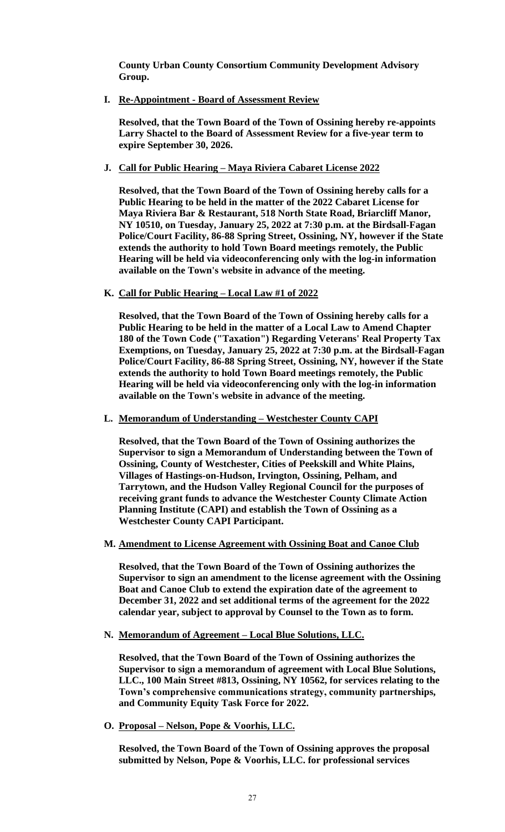**County Urban County Consortium Community Development Advisory Group.** 

**I. Re-Appointment - Board of Assessment Review**

**Resolved, that the Town Board of the Town of Ossining hereby re-appoints Larry Shactel to the Board of Assessment Review for a five-year term to expire September 30, 2026.** 

**J. Call for Public Hearing – Maya Riviera Cabaret License 2022**

**Resolved, that the Town Board of the Town of Ossining hereby calls for a Public Hearing to be held in the matter of the 2022 Cabaret License for Maya Riviera Bar & Restaurant, 518 North State Road, Briarcliff Manor, NY 10510, on Tuesday, January 25, 2022 at 7:30 p.m. at the Birdsall-Fagan Police/Court Facility, 86-88 Spring Street, Ossining, NY, however if the State extends the authority to hold Town Board meetings remotely, the Public Hearing will be held via videoconferencing only with the log-in information available on the Town's website in advance of the meeting.**

## **K. Call for Public Hearing – Local Law #1 of 2022**

**Resolved, that the Town Board of the Town of Ossining hereby calls for a Public Hearing to be held in the matter of a Local Law to Amend Chapter 180 of the Town Code ("Taxation") Regarding Veterans' Real Property Tax Exemptions, on Tuesday, January 25, 2022 at 7:30 p.m. at the Birdsall-Fagan Police/Court Facility, 86-88 Spring Street, Ossining, NY, however if the State extends the authority to hold Town Board meetings remotely, the Public Hearing will be held via videoconferencing only with the log-in information available on the Town's website in advance of the meeting.**

**L. Memorandum of Understanding – Westchester County CAPI**

**Resolved, that the Town Board of the Town of Ossining authorizes the Supervisor to sign a Memorandum of Understanding between the Town of Ossining, County of Westchester, Cities of Peekskill and White Plains, Villages of Hastings-on-Hudson, Irvington, Ossining, Pelham, and Tarrytown, and the Hudson Valley Regional Council for the purposes of receiving grant funds to advance the Westchester County Climate Action Planning Institute (CAPI) and establish the Town of Ossining as a Westchester County CAPI Participant.** 

#### **M. Amendment to License Agreement with Ossining Boat and Canoe Club**

**Resolved, that the Town Board of the Town of Ossining authorizes the Supervisor to sign an amendment to the license agreement with the Ossining Boat and Canoe Club to extend the expiration date of the agreement to December 31, 2022 and set additional terms of the agreement for the 2022 calendar year, subject to approval by Counsel to the Town as to form.** 

**N. Memorandum of Agreement – Local Blue Solutions, LLC.**

**Resolved, that the Town Board of the Town of Ossining authorizes the Supervisor to sign a memorandum of agreement with Local Blue Solutions, LLC., 100 Main Street #813, Ossining, NY 10562, for services relating to the Town's comprehensive communications strategy, community partnerships, and Community Equity Task Force for 2022.** 

**O. Proposal – Nelson, Pope & Voorhis, LLC.**

**Resolved, the Town Board of the Town of Ossining approves the proposal submitted by Nelson, Pope & Voorhis, LLC. for professional services**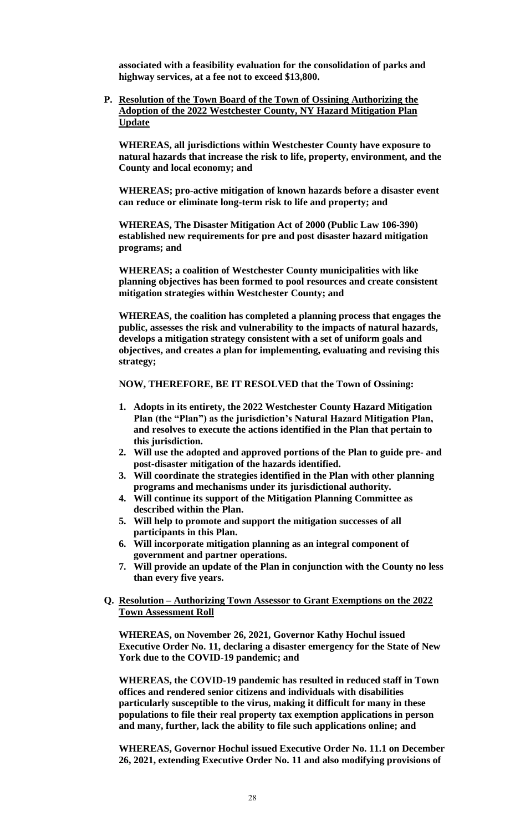**associated with a feasibility evaluation for the consolidation of parks and highway services, at a fee not to exceed \$13,800.** 

**P. Resolution of the Town Board of the Town of Ossining Authorizing the Adoption of the 2022 Westchester County, NY Hazard Mitigation Plan Update**

**WHEREAS, all jurisdictions within Westchester County have exposure to natural hazards that increase the risk to life, property, environment, and the County and local economy; and**

**WHEREAS; pro-active mitigation of known hazards before a disaster event can reduce or eliminate long-term risk to life and property; and**

**WHEREAS, The Disaster Mitigation Act of 2000 (Public Law 106-390) established new requirements for pre and post disaster hazard mitigation programs; and**

**WHEREAS; a coalition of Westchester County municipalities with like planning objectives has been formed to pool resources and create consistent mitigation strategies within Westchester County; and**

**WHEREAS, the coalition has completed a planning process that engages the public, assesses the risk and vulnerability to the impacts of natural hazards, develops a mitigation strategy consistent with a set of uniform goals and objectives, and creates a plan for implementing, evaluating and revising this strategy;**

**NOW, THEREFORE, BE IT RESOLVED that the Town of Ossining:**

- **1. Adopts in its entirety, the 2022 Westchester County Hazard Mitigation Plan (the "Plan") as the jurisdiction's Natural Hazard Mitigation Plan, and resolves to execute the actions identified in the Plan that pertain to this jurisdiction.**
- **2. Will use the adopted and approved portions of the Plan to guide pre- and post-disaster mitigation of the hazards identified.**
- **3. Will coordinate the strategies identified in the Plan with other planning programs and mechanisms under its jurisdictional authority.**
- **4. Will continue its support of the Mitigation Planning Committee as described within the Plan.**
- **5. Will help to promote and support the mitigation successes of all participants in this Plan.**
- **6. Will incorporate mitigation planning as an integral component of government and partner operations.**
- **7. Will provide an update of the Plan in conjunction with the County no less than every five years.**

## **Q. Resolution – Authorizing Town Assessor to Grant Exemptions on the 2022 Town Assessment Roll**

**WHEREAS, on November 26, 2021, Governor Kathy Hochul issued Executive Order No. 11, declaring a disaster emergency for the State of New York due to the COVID-19 pandemic; and**

**WHEREAS, the COVID-19 pandemic has resulted in reduced staff in Town offices and rendered senior citizens and individuals with disabilities particularly susceptible to the virus, making it difficult for many in these populations to file their real property tax exemption applications in person and many, further, lack the ability to file such applications online; and**

**WHEREAS, Governor Hochul issued Executive Order No. 11.1 on December 26, 2021, extending Executive Order No. 11 and also modifying provisions of**